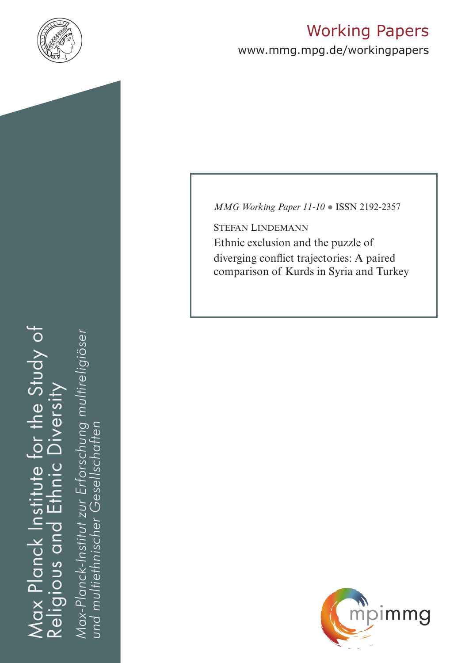

# Working Papers

www.mmg.mpg.de/workingpapers

Max Planck Institute for the Study of Religious and Ethnic Diversity ax Planck Institute for the Study of nic Diversity ய் Religious and

*Max-Planck-Institut zur Erforschung multireligiöser*  öser Max-Planck-Institut zur Erforschung multireligi *und multiethnischer Gesellschaften*und multiethnischer Gesellschatter *MMG Working Paper 11-10* ● ISSN 2192-2357

Stefan Lindemann Ethnic exclusion and the puzzle of diverging conflict trajectories: A paired comparison of Kurds in Syria and Turkey

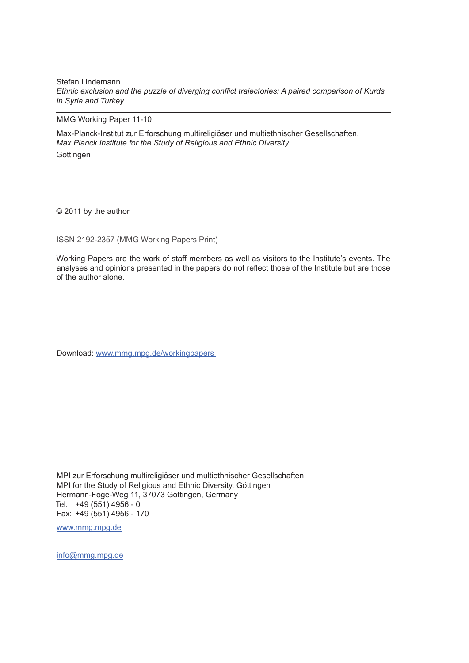Stefan Lindemann *Ethnic exclusion and the puzzle of diverging conflict trajectories: A paired comparison of Kurds in Syria and Turkey* 

MMG Working Paper 11-10

Max-Planck-Institut zur Erforschung multireligiöser und multiethnischer Gesellschaften, *Max Planck Institute for the Study of Religious and Ethnic Diversity* Göttingen

© 2011 by the author

ISSN 2192-2357 (MMG Working Papers Print)

Working Papers are the work of staff members as well as visitors to the Institute's events. The analyses and opinions presented in the papers do not reflect those of the Institute but are those of the author alone.

Download: www.mmg.mpg.de/workingpapers

MPI zur Erforschung multireligiöser und multiethnischer Gesellschaften MPI for the Study of Religious and Ethnic Diversity, Göttingen Hermann-Föge-Weg 11, 37073 Göttingen, Germany Tel.: +49 (551) 4956 - 0 Fax: +49 (551) 4956 - 170

www.mmg.mpg.de

info@mmg.mpg.de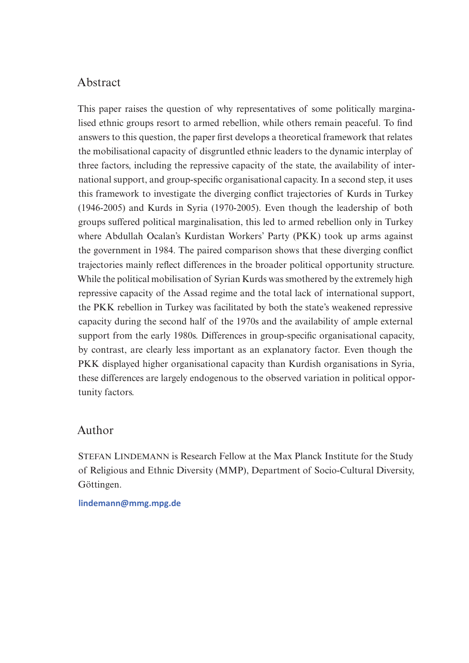## Abstract

This paper raises the question of why representatives of some politically marginalised ethnic groups resort to armed rebellion, while others remain peaceful. To find answers to this question, the paper first develops a theoretical framework that relates the mobilisational capacity of disgruntled ethnic leaders to the dynamic interplay of three factors, including the repressive capacity of the state, the availability of international support, and group-specific organisational capacity. In a second step, it uses this framework to investigate the diverging conflict trajectories of Kurds in Turkey (1946-2005) and Kurds in Syria (1970-2005). Even though the leadership of both groups suffered political marginalisation, this led to armed rebellion only in Turkey where Abdullah Ocalan's Kurdistan Workers' Party (PKK) took up arms against the government in 1984. The paired comparison shows that these diverging conflict trajectories mainly reflect differences in the broader political opportunity structure. While the political mobilisation of Syrian Kurds was smothered by the extremely high repressive capacity of the Assad regime and the total lack of international support, the PKK rebellion in Turkey was facilitated by both the state's weakened repressive capacity during the second half of the 1970s and the availability of ample external support from the early 1980s. Differences in group-specific organisational capacity, by contrast, are clearly less important as an explanatory factor. Even though the PKK displayed higher organisational capacity than Kurdish organisations in Syria, these differences are largely endogenous to the observed variation in political opportunity factors.

## Author

STEFAN LINDEMANN is Research Fellow at the Max Planck Institute for the Study of Religious and Ethnic Diversity (MMP), Department of Socio-Cultural Diversity, Göttingen.

**lindemann@mmg.mpg.de**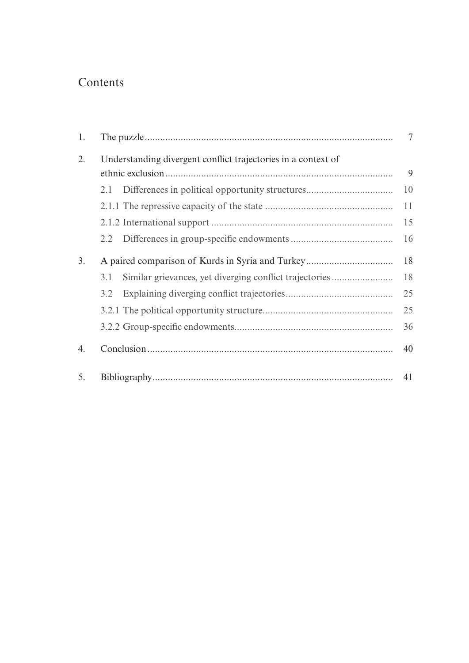## Contents

| 1. |                                                                | $\overline{7}$ |
|----|----------------------------------------------------------------|----------------|
| 2. | Understanding divergent conflict trajectories in a context of  |                |
|    |                                                                | 9              |
|    | 2.1                                                            | 10             |
|    |                                                                | 11             |
|    |                                                                | 15             |
|    |                                                                | 16             |
| 3. |                                                                | 18             |
|    | Similar grievances, yet diverging conflict trajectories<br>3.1 | 18             |
|    | $3.2^{\circ}$                                                  | 25             |
|    |                                                                | 25             |
|    |                                                                | 36             |
| 4. |                                                                | 40             |
| 5. |                                                                |                |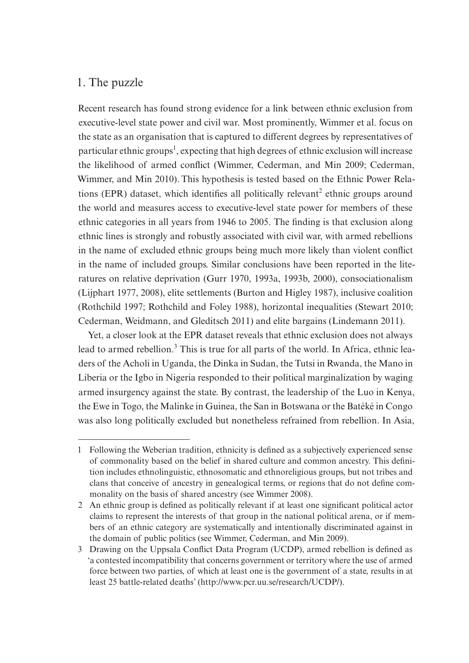## 1. The puzzle

Recent research has found strong evidence for a link between ethnic exclusion from executive-level state power and civil war. Most prominently, Wimmer et al. focus on the state as an organisation that is captured to different degrees by representatives of particular ethnic groups<sup>1</sup>, expecting that high degrees of ethnic exclusion will increase the likelihood of armed conflict (Wimmer, Cederman, and Min 2009; Cederman, Wimmer, and Min 2010). This hypothesis is tested based on the Ethnic Power Relations (EPR) dataset, which identifies all politically relevant<sup>2</sup> ethnic groups around the world and measures access to executive-level state power for members of these ethnic categories in all years from 1946 to 2005. The finding is that exclusion along ethnic lines is strongly and robustly associated with civil war, with armed rebellions in the name of excluded ethnic groups being much more likely than violent conflict in the name of included groups. Similar conclusions have been reported in the literatures on relative deprivation (Gurr 1970, 1993a, 1993b, 2000), consociationalism (Lijphart 1977, 2008), elite settlements (Burton and Higley 1987), inclusive coalition (Rothchild 1997; Rothchild and Foley 1988), horizontal inequalities (Stewart 2010; Cederman, Weidmann, and Gleditsch 2011) and elite bargains (Lindemann 2011).

Yet, a closer look at the EPR dataset reveals that ethnic exclusion does not always lead to armed rebellion.<sup>3</sup> This is true for all parts of the world. In Africa, ethnic leaders of the Acholi in Uganda, the Dinka in Sudan, the Tutsi in Rwanda, the Mano in Liberia or the Igbo in Nigeria responded to their political marginalization by waging armed insurgency against the state. By contrast, the leadership of the Luo in Kenya, the Ewe in Togo, the Malinke in Guinea, the San in Botswana or the Batéké in Congo was also long politically excluded but nonetheless refrained from rebellion. In Asia,

<sup>1</sup> Following the Weberian tradition, ethnicity is defined as a subjectively experienced sense of commonality based on the belief in shared culture and common ancestry. This definition includes ethnolinguistic, ethnosomatic and ethnoreligious groups, but not tribes and clans that conceive of ancestry in genealogical terms, or regions that do not define commonality on the basis of shared ancestry (see Wimmer 2008).

<sup>2</sup> An ethnic group is defined as politically relevant if at least one significant political actor claims to represent the interests of that group in the national political arena, or if members of an ethnic category are systematically and intentionally discriminated against in the domain of public politics (see Wimmer, Cederman, and Min 2009).

<sup>3</sup> Drawing on the Uppsala Conflict Data Program (UCDP), armed rebellion is defined as 'a contested incompatibility that concerns government or territory where the use of armed force between two parties, of which at least one is the government of a state, results in at least 25 battle-related deaths' (http://www.pcr.uu.se/research/UCDP/).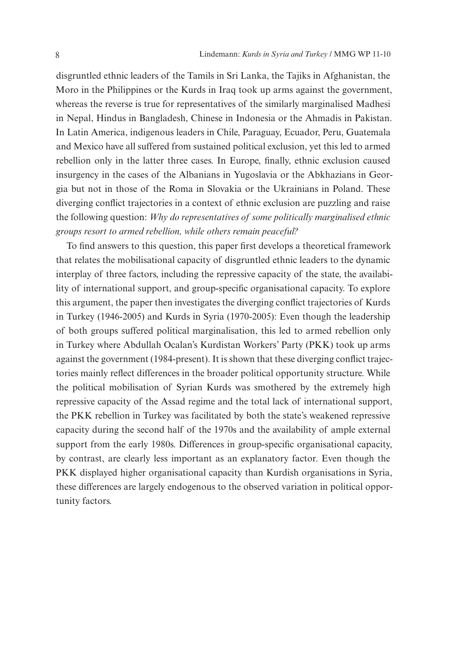disgruntled ethnic leaders of the Tamils in Sri Lanka, the Tajiks in Afghanistan, the Moro in the Philippines or the Kurds in Iraq took up arms against the government, whereas the reverse is true for representatives of the similarly marginalised Madhesi in Nepal, Hindus in Bangladesh, Chinese in Indonesia or the Ahmadis in Pakistan. In Latin America, indigenous leaders in Chile, Paraguay, Ecuador, Peru, Guatemala and Mexico have all suffered from sustained political exclusion, yet this led to armed rebellion only in the latter three cases. In Europe, finally, ethnic exclusion caused insurgency in the cases of the Albanians in Yugoslavia or the Abkhazians in Georgia but not in those of the Roma in Slovakia or the Ukrainians in Poland. These diverging conflict trajectories in a context of ethnic exclusion are puzzling and raise the following question: *Why do representatives of some politically marginalised ethnic groups resort to armed rebellion, while others remain peaceful?*

To find answers to this question, this paper first develops a theoretical framework that relates the mobilisational capacity of disgruntled ethnic leaders to the dynamic interplay of three factors, including the repressive capacity of the state, the availability of international support, and group-specific organisational capacity. To explore this argument, the paper then investigates the diverging conflict trajectories of Kurds in Turkey (1946-2005) and Kurds in Syria (1970-2005): Even though the leadership of both groups suffered political marginalisation, this led to armed rebellion only in Turkey where Abdullah Ocalan's Kurdistan Workers' Party (PKK) took up arms against the government (1984-present). It is shown that these diverging conflict trajectories mainly reflect differences in the broader political opportunity structure. While the political mobilisation of Syrian Kurds was smothered by the extremely high repressive capacity of the Assad regime and the total lack of international support, the PKK rebellion in Turkey was facilitated by both the state's weakened repressive capacity during the second half of the 1970s and the availability of ample external support from the early 1980s. Differences in group-specific organisational capacity, by contrast, are clearly less important as an explanatory factor. Even though the PKK displayed higher organisational capacity than Kurdish organisations in Syria, these differences are largely endogenous to the observed variation in political opportunity factors.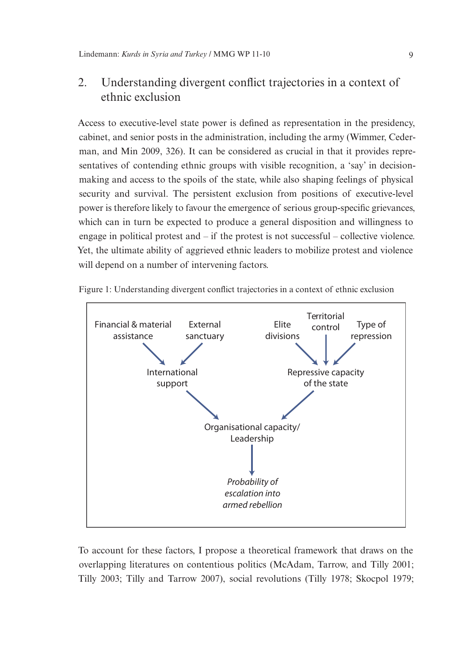## 2. Understanding divergent conflict trajectories in a context of ethnic exclusion

Access to executive-level state power is defined as representation in the presidency, cabinet, and senior posts in the administration, including the army (Wimmer, Cederman, and Min 2009, 326). It can be considered as crucial in that it provides representatives of contending ethnic groups with visible recognition, a 'say' in decisionmaking and access to the spoils of the state, while also shaping feelings of physical security and survival. The persistent exclusion from positions of executive-level power is therefore likely to favour the emergence of serious group-specific grievances, which can in turn be expected to produce a general disposition and willingness to engage in political protest and – if the protest is not successful – collective violence. Yet, the ultimate ability of aggrieved ethnic leaders to mobilize protest and violence will depend on a number of intervening factors.



Figure 1: Understanding divergent conflict trajectories in a context of ethnic exclusion

To account for these factors, I propose a theoretical framework that draws on the overlapping literatures on contentious politics (McAdam, Tarrow, and Tilly 2001; Tilly 2003; Tilly and Tarrow 2007), social revolutions (Tilly 1978; Skocpol 1979;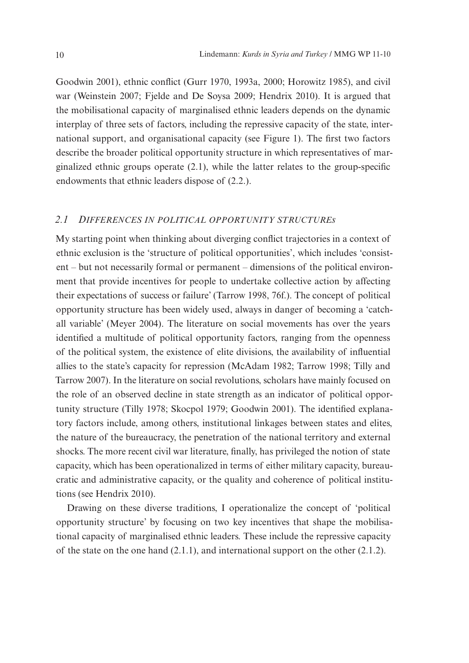Goodwin 2001), ethnic conflict (Gurr 1970, 1993a, 2000; Horowitz 1985), and civil war (Weinstein 2007; Fjelde and De Soysa 2009; Hendrix 2010). It is argued that the mobilisational capacity of marginalised ethnic leaders depends on the dynamic interplay of three sets of factors, including the repressive capacity of the state, international support, and organisational capacity (see Figure 1). The first two factors describe the broader political opportunity structure in which representatives of marginalized ethnic groups operate (2.1), while the latter relates to the group-specific endowments that ethnic leaders dispose of (2.2.).

#### *2.1 Differences in political opportunity structures*

My starting point when thinking about diverging conflict trajectories in a context of ethnic exclusion is the 'structure of political opportunities', which includes 'consistent – but not necessarily formal or permanent – dimensions of the political environment that provide incentives for people to undertake collective action by affecting their expectations of success or failure' (Tarrow 1998, 76f.). The concept of political opportunity structure has been widely used, always in danger of becoming a 'catchall variable' (Meyer 2004). The literature on social movements has over the years identified a multitude of political opportunity factors, ranging from the openness of the political system, the existence of elite divisions, the availability of influential allies to the state's capacity for repression (McAdam 1982; Tarrow 1998; Tilly and Tarrow 2007). In the literature on social revolutions, scholars have mainly focused on the role of an observed decline in state strength as an indicator of political opportunity structure (Tilly 1978; Skocpol 1979; Goodwin 2001). The identified explanatory factors include, among others, institutional linkages between states and elites, the nature of the bureaucracy, the penetration of the national territory and external shocks. The more recent civil war literature, finally, has privileged the notion of state capacity, which has been operationalized in terms of either military capacity, bureaucratic and administrative capacity, or the quality and coherence of political institutions (see Hendrix 2010).

Drawing on these diverse traditions, I operationalize the concept of 'political opportunity structure' by focusing on two key incentives that shape the mobilisational capacity of marginalised ethnic leaders. These include the repressive capacity of the state on the one hand (2.1.1), and international support on the other (2.1.2).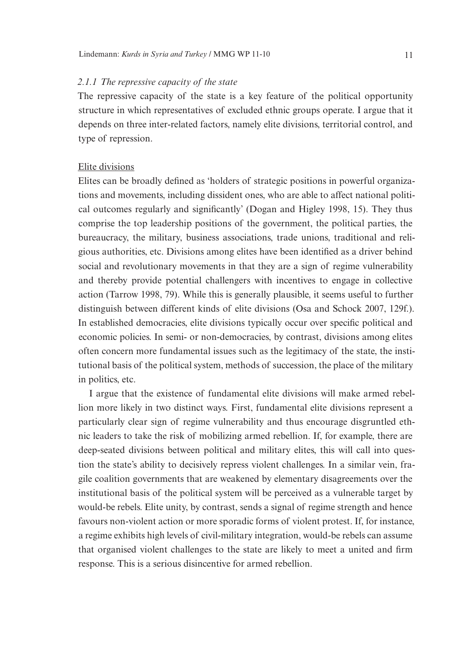#### *2.1.1 The repressive capacity of the state*

The repressive capacity of the state is a key feature of the political opportunity structure in which representatives of excluded ethnic groups operate. I argue that it depends on three inter-related factors, namely elite divisions, territorial control, and type of repression.

#### Elite divisions

Elites can be broadly defined as 'holders of strategic positions in powerful organizations and movements, including dissident ones, who are able to affect national political outcomes regularly and significantly' (Dogan and Higley 1998, 15). They thus comprise the top leadership positions of the government, the political parties, the bureaucracy, the military, business associations, trade unions, traditional and religious authorities, etc. Divisions among elites have been identified as a driver behind social and revolutionary movements in that they are a sign of regime vulnerability and thereby provide potential challengers with incentives to engage in collective action (Tarrow 1998, 79). While this is generally plausible, it seems useful to further distinguish between different kinds of elite divisions (Osa and Schock 2007, 129f.). In established democracies, elite divisions typically occur over specific political and economic policies. In semi- or non-democracies, by contrast, divisions among elites often concern more fundamental issues such as the legitimacy of the state, the institutional basis of the political system, methods of succession, the place of the military in politics, etc.

I argue that the existence of fundamental elite divisions will make armed rebellion more likely in two distinct ways. First, fundamental elite divisions represent a particularly clear sign of regime vulnerability and thus encourage disgruntled ethnic leaders to take the risk of mobilizing armed rebellion. If, for example, there are deep-seated divisions between political and military elites, this will call into question the state's ability to decisively repress violent challenges. In a similar vein, fragile coalition governments that are weakened by elementary disagreements over the institutional basis of the political system will be perceived as a vulnerable target by would-be rebels. Elite unity, by contrast, sends a signal of regime strength and hence favours non-violent action or more sporadic forms of violent protest. If, for instance, a regime exhibits high levels of civil-military integration, would-be rebels can assume that organised violent challenges to the state are likely to meet a united and firm response. This is a serious disincentive for armed rebellion.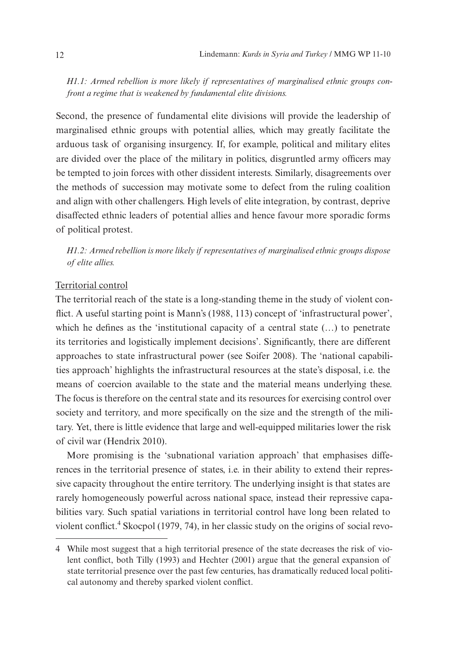*H1.1: Armed rebellion is more likely if representatives of marginalised ethnic groups confront a regime that is weakened by fundamental elite divisions.*

Second, the presence of fundamental elite divisions will provide the leadership of marginalised ethnic groups with potential allies, which may greatly facilitate the arduous task of organising insurgency. If, for example, political and military elites are divided over the place of the military in politics, disgruntled army officers may be tempted to join forces with other dissident interests. Similarly, disagreements over the methods of succession may motivate some to defect from the ruling coalition and align with other challengers. High levels of elite integration, by contrast, deprive disaffected ethnic leaders of potential allies and hence favour more sporadic forms of political protest.

*H1.2: Armed rebellion is more likely if representatives of marginalised ethnic groups dispose of elite allies.*

#### Territorial control

The territorial reach of the state is a long-standing theme in the study of violent conflict. A useful starting point is Mann's (1988, 113) concept of 'infrastructural power', which he defines as the 'institutional capacity of a central state (...) to penetrate its territories and logistically implement decisions'. Significantly, there are different approaches to state infrastructural power (see Soifer 2008). The 'national capabilities approach' highlights the infrastructural resources at the state's disposal, i.e. the means of coercion available to the state and the material means underlying these. The focus is therefore on the central state and its resources for exercising control over society and territory, and more specifically on the size and the strength of the military. Yet, there is little evidence that large and well-equipped militaries lower the risk of civil war (Hendrix 2010).

More promising is the 'subnational variation approach' that emphasises differences in the territorial presence of states, i.e. in their ability to extend their repressive capacity throughout the entire territory. The underlying insight is that states are rarely homogeneously powerful across national space, instead their repressive capabilities vary. Such spatial variations in territorial control have long been related to violent conflict.<sup>4</sup> Skocpol (1979, 74), in her classic study on the origins of social revo-

<sup>4</sup> While most suggest that a high territorial presence of the state decreases the risk of violent conflict, both Tilly (1993) and Hechter (2001) argue that the general expansion of state territorial presence over the past few centuries, has dramatically reduced local political autonomy and thereby sparked violent conflict.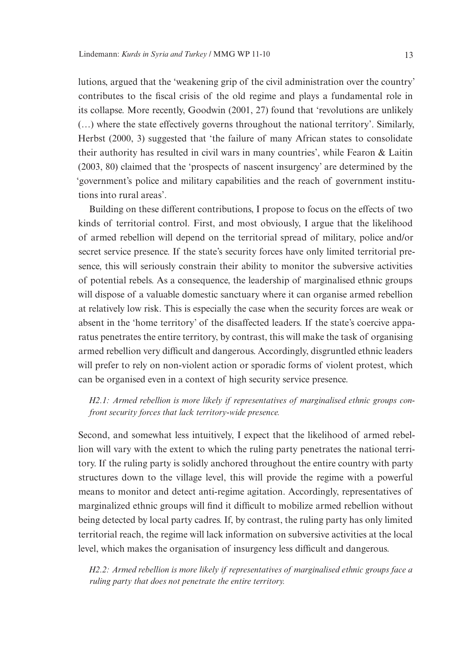lutions, argued that the 'weakening grip of the civil administration over the country' contributes to the fiscal crisis of the old regime and plays a fundamental role in its collapse. More recently, Goodwin (2001, 27) found that 'revolutions are unlikely (…) where the state effectively governs throughout the national territory'. Similarly, Herbst (2000, 3) suggested that 'the failure of many African states to consolidate their authority has resulted in civil wars in many countries', while Fearon & Laitin (2003, 80) claimed that the 'prospects of nascent insurgency' are determined by the 'government's police and military capabilities and the reach of government institutions into rural areas'.

Building on these different contributions, I propose to focus on the effects of two kinds of territorial control. First, and most obviously, I argue that the likelihood of armed rebellion will depend on the territorial spread of military, police and/or secret service presence. If the state's security forces have only limited territorial presence, this will seriously constrain their ability to monitor the subversive activities of potential rebels. As a consequence, the leadership of marginalised ethnic groups will dispose of a valuable domestic sanctuary where it can organise armed rebellion at relatively low risk. This is especially the case when the security forces are weak or absent in the 'home territory' of the disaffected leaders. If the state's coercive apparatus penetrates the entire territory, by contrast, this will make the task of organising armed rebellion very difficult and dangerous. Accordingly, disgruntled ethnic leaders will prefer to rely on non-violent action or sporadic forms of violent protest, which can be organised even in a context of high security service presence.

#### *H2.1: Armed rebellion is more likely if representatives of marginalised ethnic groups confront security forces that lack territory-wide presence.*

Second, and somewhat less intuitively, I expect that the likelihood of armed rebellion will vary with the extent to which the ruling party penetrates the national territory. If the ruling party is solidly anchored throughout the entire country with party structures down to the village level, this will provide the regime with a powerful means to monitor and detect anti-regime agitation. Accordingly, representatives of marginalized ethnic groups will find it difficult to mobilize armed rebellion without being detected by local party cadres. If, by contrast, the ruling party has only limited territorial reach, the regime will lack information on subversive activities at the local level, which makes the organisation of insurgency less difficult and dangerous.

*H2.2: Armed rebellion is more likely if representatives of marginalised ethnic groups face a ruling party that does not penetrate the entire territory.*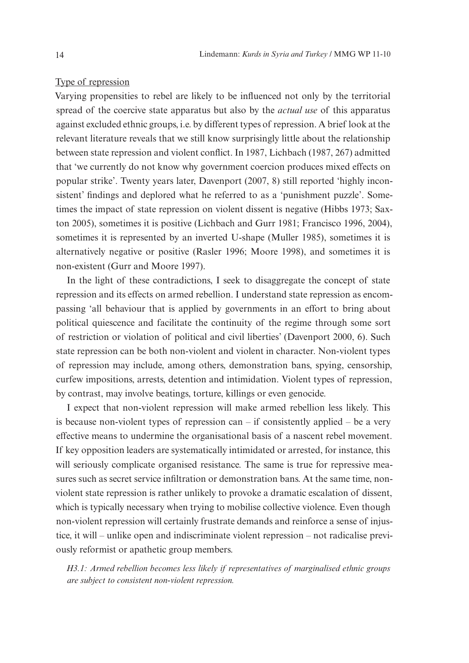#### Type of repression

Varying propensities to rebel are likely to be influenced not only by the territorial spread of the coercive state apparatus but also by the *actual use* of this apparatus against excluded ethnic groups, i.e. by different types of repression. A brief look at the relevant literature reveals that we still know surprisingly little about the relationship between state repression and violent conflict. In 1987, Lichbach (1987, 267) admitted that 'we currently do not know why government coercion produces mixed effects on popular strike'. Twenty years later, Davenport (2007, 8) still reported 'highly inconsistent' findings and deplored what he referred to as a 'punishment puzzle'. Sometimes the impact of state repression on violent dissent is negative (Hibbs 1973; Saxton 2005), sometimes it is positive (Lichbach and Gurr 1981; Francisco 1996, 2004), sometimes it is represented by an inverted U-shape (Muller 1985), sometimes it is alternatively negative or positive (Rasler 1996; Moore 1998), and sometimes it is non-existent (Gurr and Moore 1997).

In the light of these contradictions, I seek to disaggregate the concept of state repression and its effects on armed rebellion. I understand state repression as encompassing 'all behaviour that is applied by governments in an effort to bring about political quiescence and facilitate the continuity of the regime through some sort of restriction or violation of political and civil liberties' (Davenport 2000, 6). Such state repression can be both non-violent and violent in character. Non-violent types of repression may include, among others, demonstration bans, spying, censorship, curfew impositions, arrests, detention and intimidation. Violent types of repression, by contrast, may involve beatings, torture, killings or even genocide.

I expect that non-violent repression will make armed rebellion less likely. This is because non-violent types of repression can – if consistently applied – be a very effective means to undermine the organisational basis of a nascent rebel movement. If key opposition leaders are systematically intimidated or arrested, for instance, this will seriously complicate organised resistance. The same is true for repressive measures such as secret service infiltration or demonstration bans. At the same time, nonviolent state repression is rather unlikely to provoke a dramatic escalation of dissent, which is typically necessary when trying to mobilise collective violence. Even though non-violent repression will certainly frustrate demands and reinforce a sense of injustice, it will – unlike open and indiscriminate violent repression – not radicalise previously reformist or apathetic group members.

*H3.1: Armed rebellion becomes less likely if representatives of marginalised ethnic groups are subject to consistent non-violent repression.*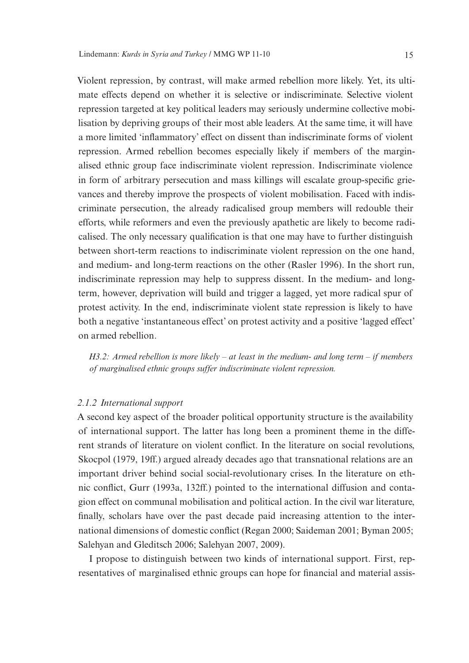Violent repression, by contrast, will make armed rebellion more likely. Yet, its ultimate effects depend on whether it is selective or indiscriminate. Selective violent repression targeted at key political leaders may seriously undermine collective mobilisation by depriving groups of their most able leaders. At the same time, it will have a more limited 'inflammatory' effect on dissent than indiscriminate forms of violent repression. Armed rebellion becomes especially likely if members of the marginalised ethnic group face indiscriminate violent repression. Indiscriminate violence in form of arbitrary persecution and mass killings will escalate group-specific grievances and thereby improve the prospects of violent mobilisation. Faced with indiscriminate persecution, the already radicalised group members will redouble their efforts, while reformers and even the previously apathetic are likely to become radicalised. The only necessary qualification is that one may have to further distinguish between short-term reactions to indiscriminate violent repression on the one hand, and medium- and long-term reactions on the other (Rasler 1996). In the short run, indiscriminate repression may help to suppress dissent. In the medium- and longterm, however, deprivation will build and trigger a lagged, yet more radical spur of protest activity. In the end, indiscriminate violent state repression is likely to have both a negative 'instantaneous effect' on protest activity and a positive 'lagged effect' on armed rebellion.

*H3.2: Armed rebellion is more likely – at least in the medium- and long term – if members of marginalised ethnic groups suffer indiscriminate violent repression.*

#### *2.1.2 International support*

A second key aspect of the broader political opportunity structure is the availability of international support. The latter has long been a prominent theme in the different strands of literature on violent conflict. In the literature on social revolutions, Skocpol (1979, 19ff.) argued already decades ago that transnational relations are an important driver behind social social-revolutionary crises. In the literature on ethnic conflict, Gurr (1993a, 132ff.) pointed to the international diffusion and contagion effect on communal mobilisation and political action. In the civil war literature, finally, scholars have over the past decade paid increasing attention to the international dimensions of domestic conflict (Regan 2000; Saideman 2001; Byman 2005; Salehyan and Gleditsch 2006; Salehyan 2007, 2009).

I propose to distinguish between two kinds of international support. First, representatives of marginalised ethnic groups can hope for financial and material assis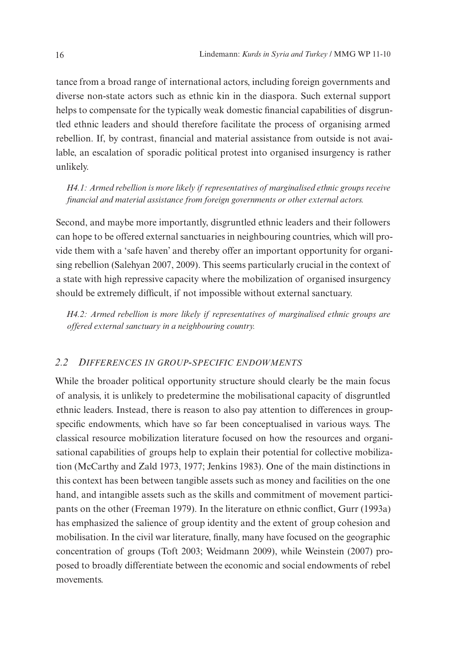tance from a broad range of international actors, including foreign governments and diverse non-state actors such as ethnic kin in the diaspora. Such external support helps to compensate for the typically weak domestic financial capabilities of disgruntled ethnic leaders and should therefore facilitate the process of organising armed rebellion. If, by contrast, financial and material assistance from outside is not available, an escalation of sporadic political protest into organised insurgency is rather unlikely.

*H4.1: Armed rebellion is more likely if representatives of marginalised ethnic groups receive financial and material assistance from foreign governments or other external actors.* 

Second, and maybe more importantly, disgruntled ethnic leaders and their followers can hope to be offered external sanctuaries in neighbouring countries, which will provide them with a 'safe haven' and thereby offer an important opportunity for organising rebellion (Salehyan 2007, 2009). This seems particularly crucial in the context of a state with high repressive capacity where the mobilization of organised insurgency should be extremely difficult, if not impossible without external sanctuary.

*H4.2: Armed rebellion is more likely if representatives of marginalised ethnic groups are offered external sanctuary in a neighbouring country.* 

#### *2.2 Differences in group-specific endowments*

While the broader political opportunity structure should clearly be the main focus of analysis, it is unlikely to predetermine the mobilisational capacity of disgruntled ethnic leaders. Instead, there is reason to also pay attention to differences in groupspecific endowments, which have so far been conceptualised in various ways. The classical resource mobilization literature focused on how the resources and organisational capabilities of groups help to explain their potential for collective mobilization (McCarthy and Zald 1973, 1977; Jenkins 1983). One of the main distinctions in this context has been between tangible assets such as money and facilities on the one hand, and intangible assets such as the skills and commitment of movement participants on the other (Freeman 1979). In the literature on ethnic conflict, Gurr (1993a) has emphasized the salience of group identity and the extent of group cohesion and mobilisation. In the civil war literature, finally, many have focused on the geographic concentration of groups (Toft 2003; Weidmann 2009), while Weinstein (2007) proposed to broadly differentiate between the economic and social endowments of rebel movements.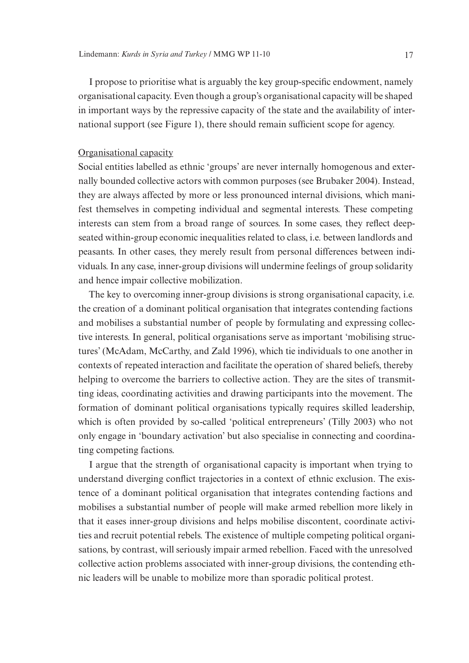I propose to prioritise what is arguably the key group-specific endowment, namely organisational capacity. Even though a group's organisational capacity will be shaped in important ways by the repressive capacity of the state and the availability of international support (see Figure 1), there should remain sufficient scope for agency.

#### Organisational capacity

Social entities labelled as ethnic 'groups' are never internally homogenous and externally bounded collective actors with common purposes (see Brubaker 2004). Instead, they are always affected by more or less pronounced internal divisions, which manifest themselves in competing individual and segmental interests. These competing interests can stem from a broad range of sources. In some cases, they reflect deepseated within-group economic inequalities related to class, i.e. between landlords and peasants. In other cases, they merely result from personal differences between individuals. In any case, inner-group divisions will undermine feelings of group solidarity and hence impair collective mobilization.

The key to overcoming inner-group divisions is strong organisational capacity, i.e. the creation of a dominant political organisation that integrates contending factions and mobilises a substantial number of people by formulating and expressing collective interests. In general, political organisations serve as important 'mobilising structures' (McAdam, McCarthy, and Zald 1996), which tie individuals to one another in contexts of repeated interaction and facilitate the operation of shared beliefs, thereby helping to overcome the barriers to collective action. They are the sites of transmitting ideas, coordinating activities and drawing participants into the movement. The formation of dominant political organisations typically requires skilled leadership, which is often provided by so-called 'political entrepreneurs' (Tilly 2003) who not only engage in 'boundary activation' but also specialise in connecting and coordinating competing factions.

I argue that the strength of organisational capacity is important when trying to understand diverging conflict trajectories in a context of ethnic exclusion. The existence of a dominant political organisation that integrates contending factions and mobilises a substantial number of people will make armed rebellion more likely in that it eases inner-group divisions and helps mobilise discontent, coordinate activities and recruit potential rebels. The existence of multiple competing political organisations, by contrast, will seriously impair armed rebellion. Faced with the unresolved collective action problems associated with inner-group divisions, the contending ethnic leaders will be unable to mobilize more than sporadic political protest.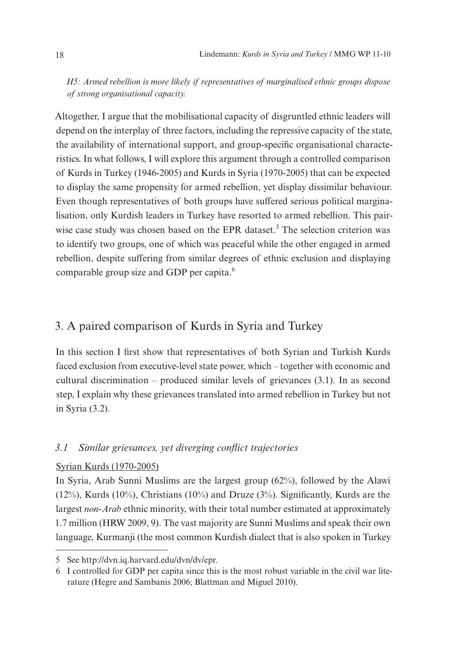*H5: Armed rebellion is more likely if representatives of marginalised ethnic groups dispose of strong organisational capacity.* 

Altogether, I argue that the mobilisational capacity of disgruntled ethnic leaders will depend on the interplay of three factors, including the repressive capacity of the state, the availability of international support, and group-specific organisational characteristics. In what follows, I will explore this argument through a controlled comparison of Kurds in Turkey (1946-2005) and Kurds in Syria (1970-2005) that can be expected to display the same propensity for armed rebellion, yet display dissimilar behaviour. Even though representatives of both groups have suffered serious political marginalisation, only Kurdish leaders in Turkey have resorted to armed rebellion. This pairwise case study was chosen based on the EPR dataset.<sup>5</sup> The selection criterion was to identify two groups, one of which was peaceful while the other engaged in armed rebellion, despite suffering from similar degrees of ethnic exclusion and displaying comparable group size and GDP per capita.6

## 3. A paired comparison of Kurds in Syria and Turkey

In this section I first show that representatives of both Syrian and Turkish Kurds faced exclusion from executive-level state power, which – together with economic and cultural discrimination – produced similar levels of grievances (3.1). In as second step, I explain why these grievances translated into armed rebellion in Turkey but not in Syria (3.2).

#### *3.1 Similar grievances, yet diverging conflict trajectories*

#### Syrian Kurds (1970-2005)

In Syria, Arab Sunni Muslims are the largest group (62%), followed by the Alawi  $(12\%)$ , Kurds  $(10\%)$ , Christians  $(10\%)$  and Druze  $(3\%)$ . Significantly, Kurds are the largest *non-Arab* ethnic minority, with their total number estimated at approximately 1.7 million (HRW 2009, 9). The vast majority are Sunni Muslims and speak their own language, Kurmanji (the most common Kurdish dialect that is also spoken in Turkey

<sup>5</sup> See http://dvn.iq.harvard.edu/dvn/dv/epr.

<sup>6</sup> I controlled for GDP per capita since this is the most robust variable in the civil war literature (Hegre and Sambanis 2006; Blattman and Miguel 2010).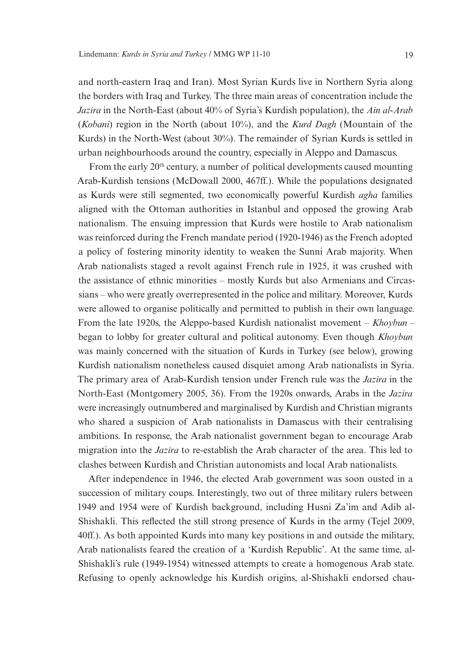and north-eastern Iraq and Iran). Most Syrian Kurds live in Northern Syria along the borders with Iraq and Turkey. The three main areas of concentration include the *Jazira* in the North-East (about 40% of Syria's Kurdish population), the *Ain al-Arab* (*Kobani*) region in the North (about 10%), and the *Kurd Dagh* (Mountain of the Kurds) in the North-West (about 30%). The remainder of Syrian Kurds is settled in urban neighbourhoods around the country, especially in Aleppo and Damascus.

From the early 20<sup>th</sup> century, a number of political developments caused mounting Arab-Kurdish tensions (McDowall 2000, 467ff.). While the populations designated as Kurds were still segmented, two economically powerful Kurdish *agha* families aligned with the Ottoman authorities in Istanbul and opposed the growing Arab nationalism. The ensuing impression that Kurds were hostile to Arab nationalism was reinforced during the French mandate period (1920-1946) as the French adopted a policy of fostering minority identity to weaken the Sunni Arab majority. When Arab nationalists staged a revolt against French rule in 1925, it was crushed with the assistance of ethnic minorities – mostly Kurds but also Armenians and Circassians – who were greatly overrepresented in the police and military. Moreover, Kurds were allowed to organise politically and permitted to publish in their own language. From the late 1920s, the Aleppo-based Kurdish nationalist movement – *Khoybun* – began to lobby for greater cultural and political autonomy. Even though *Khoybun* was mainly concerned with the situation of Kurds in Turkey (see below), growing Kurdish nationalism nonetheless caused disquiet among Arab nationalists in Syria. The primary area of Arab-Kurdish tension under French rule was the *Jazira* in the North-East (Montgomery 2005, 36). From the 1920s onwards, Arabs in the *Jazira* were increasingly outnumbered and marginalised by Kurdish and Christian migrants who shared a suspicion of Arab nationalists in Damascus with their centralising ambitions. In response, the Arab nationalist government began to encourage Arab migration into the *Jazira* to re-establish the Arab character of the area. This led to clashes between Kurdish and Christian autonomists and local Arab nationalists.

After independence in 1946, the elected Arab government was soon ousted in a succession of military coups. Interestingly, two out of three military rulers between 1949 and 1954 were of Kurdish background, including Husni Za'im and Adib al-Shishakli. This reflected the still strong presence of Kurds in the army (Tejel 2009, 40ff.). As both appointed Kurds into many key positions in and outside the military, Arab nationalists feared the creation of a 'Kurdish Republic'. At the same time, al-Shishakli's rule (1949-1954) witnessed attempts to create a homogenous Arab state. Refusing to openly acknowledge his Kurdish origins, al-Shishakli endorsed chau-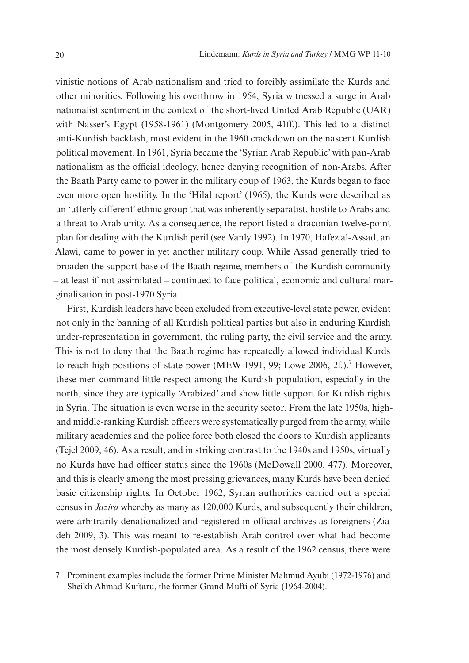vinistic notions of Arab nationalism and tried to forcibly assimilate the Kurds and other minorities. Following his overthrow in 1954, Syria witnessed a surge in Arab nationalist sentiment in the context of the short-lived United Arab Republic (UAR) with Nasser's Egypt (1958-1961) (Montgomery 2005, 41ff.). This led to a distinct anti-Kurdish backlash, most evident in the 1960 crackdown on the nascent Kurdish political movement. In 1961, Syria became the 'Syrian Arab Republic' with pan-Arab nationalism as the official ideology, hence denying recognition of non-Arabs. After the Baath Party came to power in the military coup of 1963, the Kurds began to face even more open hostility. In the 'Hilal report' (1965), the Kurds were described as an 'utterly different' ethnic group that was inherently separatist, hostile to Arabs and a threat to Arab unity. As a consequence, the report listed a draconian twelve-point plan for dealing with the Kurdish peril (see Vanly 1992). In 1970, Hafez al-Assad, an Alawi, came to power in yet another military coup. While Assad generally tried to broaden the support base of the Baath regime, members of the Kurdish community – at least if not assimilated – continued to face political, economic and cultural marginalisation in post-1970 Syria.

First, Kurdish leaders have been excluded from executive-level state power, evident not only in the banning of all Kurdish political parties but also in enduring Kurdish under-representation in government, the ruling party, the civil service and the army. This is not to deny that the Baath regime has repeatedly allowed individual Kurds to reach high positions of state power (MEW 1991, 99; Lowe 2006, 2f.).<sup>7</sup> However, these men command little respect among the Kurdish population, especially in the north, since they are typically 'Arabized' and show little support for Kurdish rights in Syria. The situation is even worse in the security sector. From the late 1950s, highand middle-ranking Kurdish officers were systematically purged from the army, while military academies and the police force both closed the doors to Kurdish applicants (Tejel 2009, 46). As a result, and in striking contrast to the 1940s and 1950s, virtually no Kurds have had officer status since the 1960s (McDowall 2000, 477). Moreover, and this is clearly among the most pressing grievances, many Kurds have been denied basic citizenship rights. In October 1962, Syrian authorities carried out a special census in *Jazira* whereby as many as 120,000 Kurds, and subsequently their children, were arbitrarily denationalized and registered in official archives as foreigners (Ziadeh 2009, 3). This was meant to re-establish Arab control over what had become the most densely Kurdish-populated area. As a result of the 1962 census, there were

<sup>7</sup> Prominent examples include the former Prime Minister Mahmud Ayubi (1972-1976) and Sheikh Ahmad Kuftaru, the former Grand Mufti of Syria (1964-2004).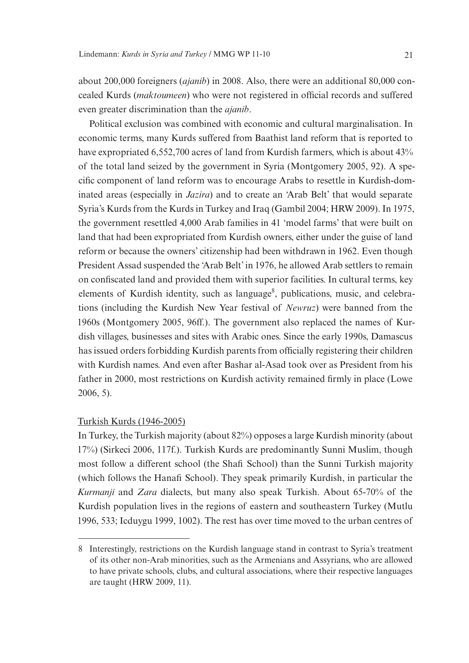about 200,000 foreigners (*ajanib*) in 2008. Also, there were an additional 80,000 concealed Kurds (*maktoumeen*) who were not registered in official records and suffered even greater discrimination than the *ajanib*.

Political exclusion was combined with economic and cultural marginalisation. In economic terms, many Kurds suffered from Baathist land reform that is reported to have expropriated 6,552,700 acres of land from Kurdish farmers, which is about 43% of the total land seized by the government in Syria (Montgomery 2005, 92). A specific component of land reform was to encourage Arabs to resettle in Kurdish-dominated areas (especially in *Jazira*) and to create an 'Arab Belt' that would separate Syria's Kurds from the Kurds in Turkey and Iraq (Gambil 2004; HRW 2009). In 1975, the government resettled 4,000 Arab families in 41 'model farms' that were built on land that had been expropriated from Kurdish owners, either under the guise of land reform or because the owners' citizenship had been withdrawn in 1962. Even though President Assad suspended the 'Arab Belt' in 1976, he allowed Arab settlers to remain on confiscated land and provided them with superior facilities. In cultural terms, key elements of Kurdish identity, such as language<sup>8</sup>, publications, music, and celebrations (including the Kurdish New Year festival of *Newruz*) were banned from the 1960s (Montgomery 2005, 96ff.). The government also replaced the names of Kurdish villages, businesses and sites with Arabic ones. Since the early 1990s, Damascus has issued orders forbidding Kurdish parents from officially registering their children with Kurdish names. And even after Bashar al-Asad took over as President from his father in 2000, most restrictions on Kurdish activity remained firmly in place (Lowe 2006, 5).

#### Turkish Kurds (1946-2005)

In Turkey, the Turkish majority (about 82%) opposes a large Kurdish minority (about 17%) (Sirkeci 2006, 117f.). Turkish Kurds are predominantly Sunni Muslim, though most follow a different school (the Shafi School) than the Sunni Turkish majority (which follows the Hanafi School). They speak primarily Kurdish, in particular the *Kurmanji* and *Zara* dialects, but many also speak Turkish. About 65-70% of the Kurdish population lives in the regions of eastern and southeastern Turkey (Mutlu 1996, 533; Icduygu 1999, 1002). The rest has over time moved to the urban centres of

<sup>8</sup> Interestingly, restrictions on the Kurdish language stand in contrast to Syria's treatment of its other non-Arab minorities, such as the Armenians and Assyrians, who are allowed to have private schools, clubs, and cultural associations, where their respective languages are taught (HRW 2009, 11).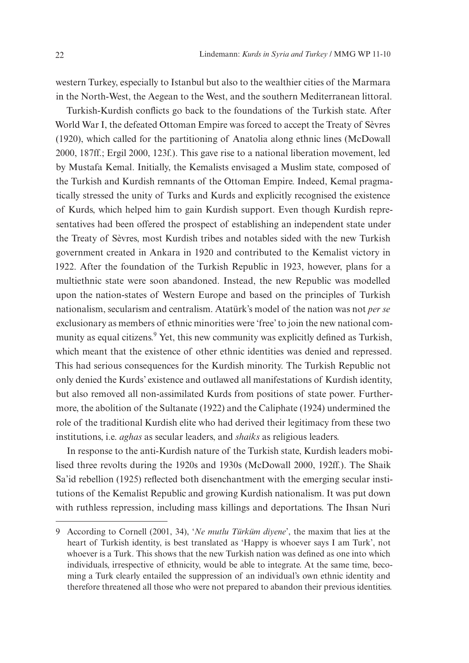western Turkey, especially to Istanbul but also to the wealthier cities of the Marmara in the North-West, the Aegean to the West, and the southern Mediterranean littoral.

Turkish-Kurdish conflicts go back to the foundations of the Turkish state. After World War I, the defeated Ottoman Empire was forced to accept the Treaty of Sèvres (1920), which called for the partitioning of Anatolia along ethnic lines (McDowall 2000, 187ff.; Ergil 2000, 123f.). This gave rise to a national liberation movement, led by Mustafa Kemal. Initially, the Kemalists envisaged a Muslim state, composed of the Turkish and Kurdish remnants of the Ottoman Empire. Indeed, Kemal pragmatically stressed the unity of Turks and Kurds and explicitly recognised the existence of Kurds, which helped him to gain Kurdish support. Even though Kurdish representatives had been offered the prospect of establishing an independent state under the Treaty of Sèvres, most Kurdish tribes and notables sided with the new Turkish government created in Ankara in 1920 and contributed to the Kemalist victory in 1922. After the foundation of the Turkish Republic in 1923, however, plans for a multiethnic state were soon abandoned. Instead, the new Republic was modelled upon the nation-states of Western Europe and based on the principles of Turkish nationalism, secularism and centralism. Atatürk's model of the nation was not *per se* exclusionary as members of ethnic minorities were 'free' to join the new national community as equal citizens.<sup>9</sup> Yet, this new community was explicitly defined as Turkish, which meant that the existence of other ethnic identities was denied and repressed. This had serious consequences for the Kurdish minority. The Turkish Republic not only denied the Kurds' existence and outlawed all manifestations of Kurdish identity, but also removed all non-assimilated Kurds from positions of state power. Furthermore, the abolition of the Sultanate (1922) and the Caliphate (1924) undermined the role of the traditional Kurdish elite who had derived their legitimacy from these two institutions, i.e. *aghas* as secular leaders, and *shaiks* as religious leaders.

In response to the anti-Kurdish nature of the Turkish state, Kurdish leaders mobilised three revolts during the 1920s and 1930s (McDowall 2000, 192ff.). The Shaik Sa'id rebellion (1925) reflected both disenchantment with the emerging secular institutions of the Kemalist Republic and growing Kurdish nationalism. It was put down with ruthless repression, including mass killings and deportations. The Ihsan Nuri

<sup>9</sup> According to Cornell (2001, 34), '*Ne mutlu Türküm diyene*', the maxim that lies at the heart of Turkish identity, is best translated as 'Happy is whoever says I am Turk', not whoever is a Turk. This shows that the new Turkish nation was defined as one into which individuals, irrespective of ethnicity, would be able to integrate. At the same time, becoming a Turk clearly entailed the suppression of an individual's own ethnic identity and therefore threatened all those who were not prepared to abandon their previous identities.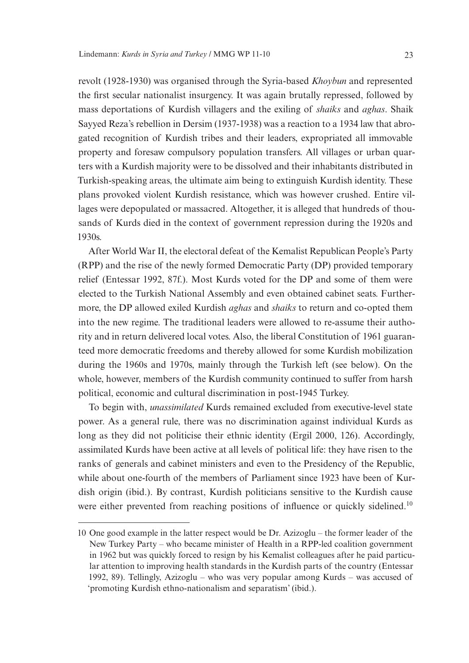revolt (1928-1930) was organised through the Syria-based *Khoybun* and represented the first secular nationalist insurgency. It was again brutally repressed, followed by mass deportations of Kurdish villagers and the exiling of *shaiks* and *aghas*. Shaik Sayyed Reza's rebellion in Dersim (1937-1938) was a reaction to a 1934 law that abrogated recognition of Kurdish tribes and their leaders, expropriated all immovable property and foresaw compulsory population transfers. All villages or urban quarters with a Kurdish majority were to be dissolved and their inhabitants distributed in Turkish-speaking areas, the ultimate aim being to extinguish Kurdish identity. These plans provoked violent Kurdish resistance, which was however crushed. Entire villages were depopulated or massacred. Altogether, it is alleged that hundreds of thousands of Kurds died in the context of government repression during the 1920s and 1930s.

After World War II, the electoral defeat of the Kemalist Republican People's Party (RPP) and the rise of the newly formed Democratic Party (DP) provided temporary relief (Entessar 1992, 87f.). Most Kurds voted for the DP and some of them were elected to the Turkish National Assembly and even obtained cabinet seats. Furthermore, the DP allowed exiled Kurdish *aghas* and *shaiks* to return and co-opted them into the new regime. The traditional leaders were allowed to re-assume their authority and in return delivered local votes. Also, the liberal Constitution of 1961 guaranteed more democratic freedoms and thereby allowed for some Kurdish mobilization during the 1960s and 1970s, mainly through the Turkish left (see below). On the whole, however, members of the Kurdish community continued to suffer from harsh political, economic and cultural discrimination in post-1945 Turkey.

To begin with, *unassimilated* Kurds remained excluded from executive-level state power. As a general rule, there was no discrimination against individual Kurds as long as they did not politicise their ethnic identity (Ergil 2000, 126). Accordingly, assimilated Kurds have been active at all levels of political life: they have risen to the ranks of generals and cabinet ministers and even to the Presidency of the Republic, while about one-fourth of the members of Parliament since 1923 have been of Kurdish origin (ibid.). By contrast, Kurdish politicians sensitive to the Kurdish cause were either prevented from reaching positions of influence or quickly sidelined.<sup>10</sup>

<sup>10</sup> One good example in the latter respect would be Dr. Azizoglu – the former leader of the New Turkey Party – who became minister of Health in a RPP-led coalition government in 1962 but was quickly forced to resign by his Kemalist colleagues after he paid particular attention to improving health standards in the Kurdish parts of the country (Entessar 1992, 89). Tellingly, Azizoglu – who was very popular among Kurds – was accused of 'promoting Kurdish ethno-nationalism and separatism' (ibid.).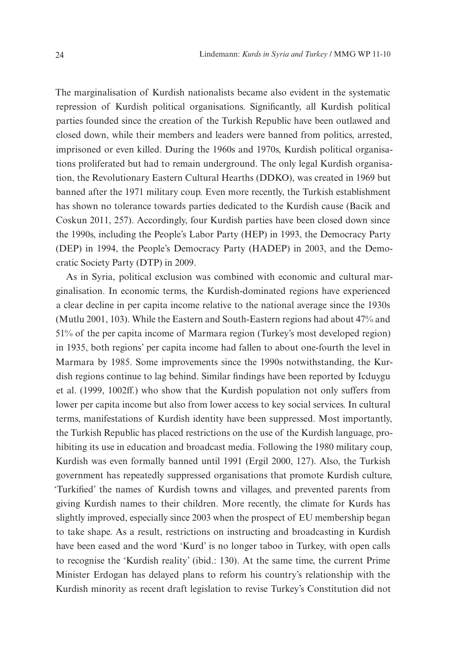The marginalisation of Kurdish nationalists became also evident in the systematic repression of Kurdish political organisations. Significantly, all Kurdish political parties founded since the creation of the Turkish Republic have been outlawed and closed down, while their members and leaders were banned from politics, arrested, imprisoned or even killed. During the 1960s and 1970s, Kurdish political organisations proliferated but had to remain underground. The only legal Kurdish organisation, the Revolutionary Eastern Cultural Hearths (DDKO), was created in 1969 but banned after the 1971 military coup. Even more recently, the Turkish establishment has shown no tolerance towards parties dedicated to the Kurdish cause (Bacik and Coskun 2011, 257). Accordingly, four Kurdish parties have been closed down since the 1990s, including the People's Labor Party (HEP) in 1993, the Democracy Party (DEP) in 1994, the People's Democracy Party (HADEP) in 2003, and the Democratic Society Party (DTP) in 2009.

As in Syria, political exclusion was combined with economic and cultural marginalisation. In economic terms, the Kurdish-dominated regions have experienced a clear decline in per capita income relative to the national average since the 1930s (Mutlu 2001, 103). While the Eastern and South-Eastern regions had about 47% and 51% of the per capita income of Marmara region (Turkey's most developed region) in 1935, both regions' per capita income had fallen to about one-fourth the level in Marmara by 1985. Some improvements since the 1990s notwithstanding, the Kurdish regions continue to lag behind. Similar findings have been reported by Icduygu et al. (1999, 1002ff.) who show that the Kurdish population not only suffers from lower per capita income but also from lower access to key social services. In cultural terms, manifestations of Kurdish identity have been suppressed. Most importantly, the Turkish Republic has placed restrictions on the use of the Kurdish language, prohibiting its use in education and broadcast media. Following the 1980 military coup, Kurdish was even formally banned until 1991 (Ergil 2000, 127). Also, the Turkish government has repeatedly suppressed organisations that promote Kurdish culture, 'Turkified' the names of Kurdish towns and villages, and prevented parents from giving Kurdish names to their children. More recently, the climate for Kurds has slightly improved, especially since 2003 when the prospect of EU membership began to take shape. As a result, restrictions on instructing and broadcasting in Kurdish have been eased and the word 'Kurd' is no longer taboo in Turkey, with open calls to recognise the 'Kurdish reality' (ibid.: 130). At the same time, the current Prime Minister Erdogan has delayed plans to reform his country's relationship with the Kurdish minority as recent draft legislation to revise Turkey's Constitution did not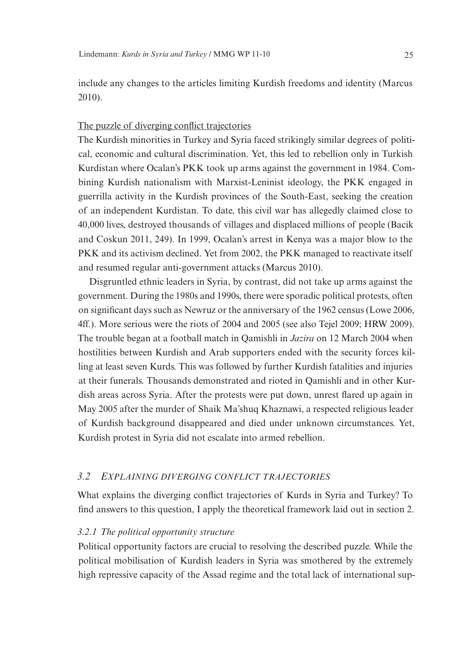include any changes to the articles limiting Kurdish freedoms and identity (Marcus 2010).

#### The puzzle of diverging conflict trajectories

The Kurdish minorities in Turkey and Syria faced strikingly similar degrees of political, economic and cultural discrimination. Yet, this led to rebellion only in Turkish Kurdistan where Ocalan's PKK took up arms against the government in 1984. Combining Kurdish nationalism with Marxist-Leninist ideology, the PKK engaged in guerrilla activity in the Kurdish provinces of the South-East, seeking the creation of an independent Kurdistan. To date, this civil war has allegedly claimed close to 40,000 lives, destroyed thousands of villages and displaced millions of people (Bacik and Coskun 2011, 249). In 1999, Ocalan's arrest in Kenya was a major blow to the PKK and its activism declined. Yet from 2002, the PKK managed to reactivate itself and resumed regular anti-government attacks (Marcus 2010).

Disgruntled ethnic leaders in Syria, by contrast, did not take up arms against the government. During the 1980s and 1990s, there were sporadic political protests, often on significant days such as Newruz or the anniversary of the 1962 census (Lowe 2006, 4ff.). More serious were the riots of 2004 and 2005 (see also Tejel 2009; HRW 2009). The trouble began at a football match in Qamishli in *Jazira* on 12 March 2004 when hostilities between Kurdish and Arab supporters ended with the security forces killing at least seven Kurds. This was followed by further Kurdish fatalities and injuries at their funerals. Thousands demonstrated and rioted in Qamishli and in other Kurdish areas across Syria. After the protests were put down, unrest flared up again in May 2005 after the murder of Shaik Ma'shuq Khaznawi, a respected religious leader of Kurdish background disappeared and died under unknown circumstances. Yet, Kurdish protest in Syria did not escalate into armed rebellion.

#### *3.2 Explaining diverging conflict trajectories*

What explains the diverging conflict trajectories of Kurds in Syria and Turkey? To find answers to this question, I apply the theoretical framework laid out in section 2.

#### *3.2.1 The political opportunity structure*

Political opportunity factors are crucial to resolving the described puzzle. While the political mobilisation of Kurdish leaders in Syria was smothered by the extremely high repressive capacity of the Assad regime and the total lack of international sup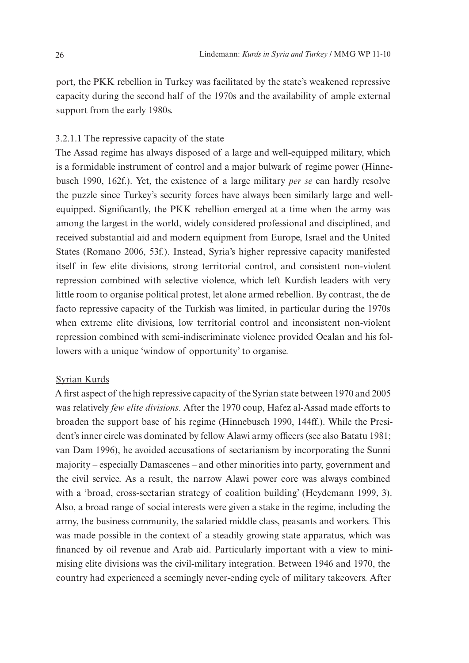port, the PKK rebellion in Turkey was facilitated by the state's weakened repressive capacity during the second half of the 1970s and the availability of ample external support from the early 1980s.

#### 3.2.1.1 The repressive capacity of the state

The Assad regime has always disposed of a large and well-equipped military, which is a formidable instrument of control and a major bulwark of regime power (Hinnebusch 1990, 162f.). Yet, the existence of a large military *per se* can hardly resolve the puzzle since Turkey's security forces have always been similarly large and wellequipped. Significantly, the PKK rebellion emerged at a time when the army was among the largest in the world, widely considered professional and disciplined, and received substantial aid and modern equipment from Europe, Israel and the United States (Romano 2006, 53f.). Instead, Syria's higher repressive capacity manifested itself in few elite divisions, strong territorial control, and consistent non-violent repression combined with selective violence, which left Kurdish leaders with very little room to organise political protest, let alone armed rebellion. By contrast, the de facto repressive capacity of the Turkish was limited, in particular during the 1970s when extreme elite divisions, low territorial control and inconsistent non-violent repression combined with semi-indiscriminate violence provided Ocalan and his followers with a unique 'window of opportunity' to organise.

#### Syrian Kurds

A first aspect of the high repressive capacity of the Syrian state between 1970 and 2005 was relatively *few elite divisions*. After the 1970 coup, Hafez al-Assad made efforts to broaden the support base of his regime (Hinnebusch 1990, 144ff.). While the President's inner circle was dominated by fellow Alawi army officers (see also Batatu 1981; van Dam 1996), he avoided accusations of sectarianism by incorporating the Sunni majority – especially Damascenes – and other minorities into party, government and the civil service. As a result, the narrow Alawi power core was always combined with a 'broad, cross-sectarian strategy of coalition building' (Heydemann 1999, 3). Also, a broad range of social interests were given a stake in the regime, including the army, the business community, the salaried middle class, peasants and workers. This was made possible in the context of a steadily growing state apparatus, which was financed by oil revenue and Arab aid. Particularly important with a view to minimising elite divisions was the civil-military integration. Between 1946 and 1970, the country had experienced a seemingly never-ending cycle of military takeovers. After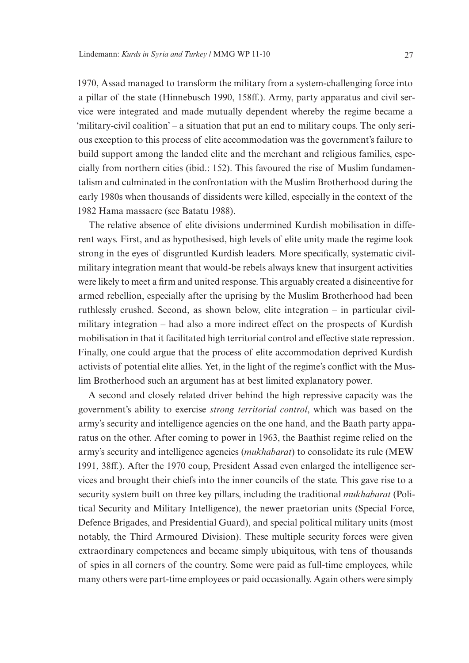1970, Assad managed to transform the military from a system-challenging force into a pillar of the state (Hinnebusch 1990, 158ff.). Army, party apparatus and civil service were integrated and made mutually dependent whereby the regime became a 'military-civil coalition' – a situation that put an end to military coups. The only serious exception to this process of elite accommodation was the government's failure to build support among the landed elite and the merchant and religious families, especially from northern cities (ibid.: 152). This favoured the rise of Muslim fundamentalism and culminated in the confrontation with the Muslim Brotherhood during the early 1980s when thousands of dissidents were killed, especially in the context of the 1982 Hama massacre (see Batatu 1988).

The relative absence of elite divisions undermined Kurdish mobilisation in different ways. First, and as hypothesised, high levels of elite unity made the regime look strong in the eyes of disgruntled Kurdish leaders. More specifically, systematic civilmilitary integration meant that would-be rebels always knew that insurgent activities were likely to meet a firm and united response. This arguably created a disincentive for armed rebellion, especially after the uprising by the Muslim Brotherhood had been ruthlessly crushed. Second, as shown below, elite integration – in particular civilmilitary integration – had also a more indirect effect on the prospects of Kurdish mobilisation in that it facilitated high territorial control and effective state repression. Finally, one could argue that the process of elite accommodation deprived Kurdish activists of potential elite allies. Yet, in the light of the regime's conflict with the Muslim Brotherhood such an argument has at best limited explanatory power.

A second and closely related driver behind the high repressive capacity was the government's ability to exercise *strong territorial control*, which was based on the army's security and intelligence agencies on the one hand, and the Baath party apparatus on the other. After coming to power in 1963, the Baathist regime relied on the army's security and intelligence agencies (*mukhabarat*) to consolidate its rule (MEW 1991, 38ff.). After the 1970 coup, President Assad even enlarged the intelligence services and brought their chiefs into the inner councils of the state. This gave rise to a security system built on three key pillars, including the traditional *mukhabarat* (Political Security and Military Intelligence), the newer praetorian units (Special Force, Defence Brigades, and Presidential Guard), and special political military units (most notably, the Third Armoured Division). These multiple security forces were given extraordinary competences and became simply ubiquitous, with tens of thousands of spies in all corners of the country. Some were paid as full-time employees, while many others were part-time employees or paid occasionally. Again others were simply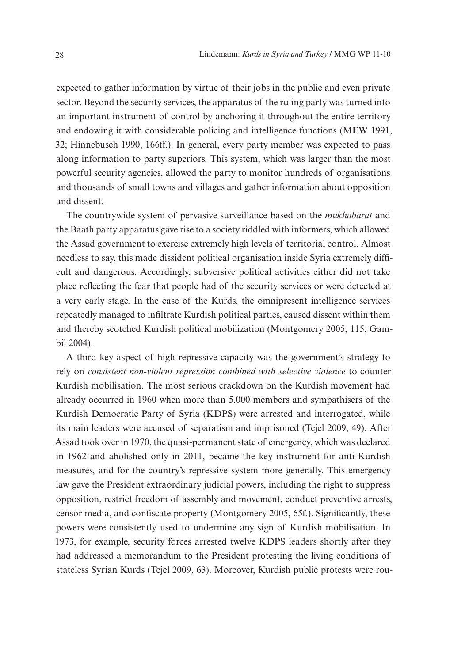expected to gather information by virtue of their jobs in the public and even private sector. Beyond the security services, the apparatus of the ruling party was turned into an important instrument of control by anchoring it throughout the entire territory and endowing it with considerable policing and intelligence functions (MEW 1991, 32; Hinnebusch 1990, 166ff.). In general, every party member was expected to pass along information to party superiors. This system, which was larger than the most powerful security agencies, allowed the party to monitor hundreds of organisations and thousands of small towns and villages and gather information about opposition and dissent.

The countrywide system of pervasive surveillance based on the *mukhabarat* and the Baath party apparatus gave rise to a society riddled with informers, which allowed the Assad government to exercise extremely high levels of territorial control. Almost needless to say, this made dissident political organisation inside Syria extremely difficult and dangerous. Accordingly, subversive political activities either did not take place reflecting the fear that people had of the security services or were detected at a very early stage. In the case of the Kurds, the omnipresent intelligence services repeatedly managed to infiltrate Kurdish political parties, caused dissent within them and thereby scotched Kurdish political mobilization (Montgomery 2005, 115; Gambil 2004).

A third key aspect of high repressive capacity was the government's strategy to rely on *consistent non-violent repression combined with selective violence* to counter Kurdish mobilisation. The most serious crackdown on the Kurdish movement had already occurred in 1960 when more than 5,000 members and sympathisers of the Kurdish Democratic Party of Syria (KDPS) were arrested and interrogated, while its main leaders were accused of separatism and imprisoned (Tejel 2009, 49). After Assad took over in 1970, the quasi-permanent state of emergency, which was declared in 1962 and abolished only in 2011, became the key instrument for anti-Kurdish measures, and for the country's repressive system more generally. This emergency law gave the President extraordinary judicial powers, including the right to suppress opposition, restrict freedom of assembly and movement, conduct preventive arrests, censor media, and confiscate property (Montgomery 2005, 65f.). Significantly, these powers were consistently used to undermine any sign of Kurdish mobilisation. In 1973, for example, security forces arrested twelve KDPS leaders shortly after they had addressed a memorandum to the President protesting the living conditions of stateless Syrian Kurds (Tejel 2009, 63). Moreover, Kurdish public protests were rou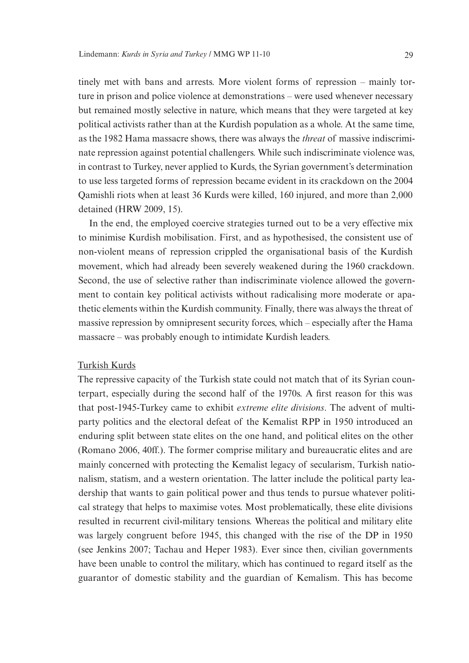tinely met with bans and arrests. More violent forms of repression – mainly torture in prison and police violence at demonstrations – were used whenever necessary but remained mostly selective in nature, which means that they were targeted at key political activists rather than at the Kurdish population as a whole. At the same time, as the 1982 Hama massacre shows, there was always the *threat* of massive indiscriminate repression against potential challengers. While such indiscriminate violence was, in contrast to Turkey, never applied to Kurds, the Syrian government's determination to use less targeted forms of repression became evident in its crackdown on the 2004 Qamishli riots when at least 36 Kurds were killed, 160 injured, and more than 2,000 detained (HRW 2009, 15).

In the end, the employed coercive strategies turned out to be a very effective mix to minimise Kurdish mobilisation. First, and as hypothesised, the consistent use of non-violent means of repression crippled the organisational basis of the Kurdish movement, which had already been severely weakened during the 1960 crackdown. Second, the use of selective rather than indiscriminate violence allowed the government to contain key political activists without radicalising more moderate or apathetic elements within the Kurdish community. Finally, there was always the threat of massive repression by omnipresent security forces, which – especially after the Hama massacre – was probably enough to intimidate Kurdish leaders.

#### Turkish Kurds

The repressive capacity of the Turkish state could not match that of its Syrian counterpart, especially during the second half of the 1970s. A first reason for this was that post-1945-Turkey came to exhibit *extreme elite divisions*. The advent of multiparty politics and the electoral defeat of the Kemalist RPP in 1950 introduced an enduring split between state elites on the one hand, and political elites on the other (Romano 2006, 40ff.). The former comprise military and bureaucratic elites and are mainly concerned with protecting the Kemalist legacy of secularism, Turkish nationalism, statism, and a western orientation. The latter include the political party leadership that wants to gain political power and thus tends to pursue whatever political strategy that helps to maximise votes. Most problematically, these elite divisions resulted in recurrent civil-military tensions. Whereas the political and military elite was largely congruent before 1945, this changed with the rise of the DP in 1950 (see Jenkins 2007; Tachau and Heper 1983). Ever since then, civilian governments have been unable to control the military, which has continued to regard itself as the guarantor of domestic stability and the guardian of Kemalism. This has become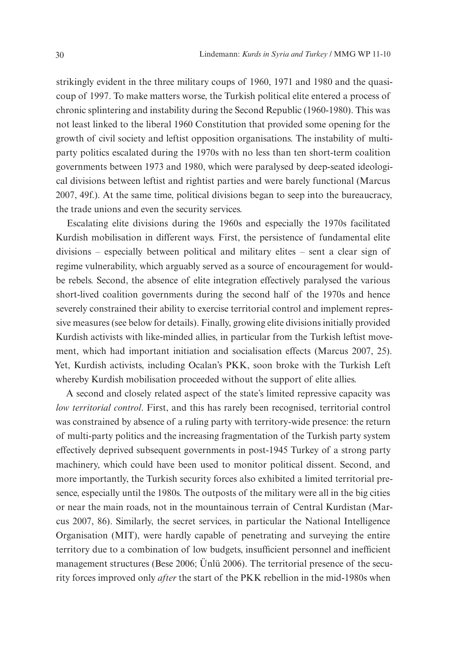strikingly evident in the three military coups of 1960, 1971 and 1980 and the quasicoup of 1997. To make matters worse, the Turkish political elite entered a process of chronic splintering and instability during the Second Republic (1960-1980). This was not least linked to the liberal 1960 Constitution that provided some opening for the growth of civil society and leftist opposition organisations. The instability of multiparty politics escalated during the 1970s with no less than ten short-term coalition governments between 1973 and 1980, which were paralysed by deep-seated ideological divisions between leftist and rightist parties and were barely functional (Marcus 2007, 49f.). At the same time, political divisions began to seep into the bureaucracy, the trade unions and even the security services.

Escalating elite divisions during the 1960s and especially the 1970s facilitated Kurdish mobilisation in different ways. First, the persistence of fundamental elite divisions – especially between political and military elites – sent a clear sign of regime vulnerability, which arguably served as a source of encouragement for wouldbe rebels. Second, the absence of elite integration effectively paralysed the various short-lived coalition governments during the second half of the 1970s and hence severely constrained their ability to exercise territorial control and implement repressive measures (see below for details). Finally, growing elite divisions initially provided Kurdish activists with like-minded allies, in particular from the Turkish leftist movement, which had important initiation and socialisation effects (Marcus 2007, 25). Yet, Kurdish activists, including Ocalan's PKK, soon broke with the Turkish Left whereby Kurdish mobilisation proceeded without the support of elite allies.

A second and closely related aspect of the state's limited repressive capacity was *low territorial control*. First, and this has rarely been recognised, territorial control was constrained by absence of a ruling party with territory-wide presence: the return of multi-party politics and the increasing fragmentation of the Turkish party system effectively deprived subsequent governments in post-1945 Turkey of a strong party machinery, which could have been used to monitor political dissent. Second, and more importantly, the Turkish security forces also exhibited a limited territorial presence, especially until the 1980s. The outposts of the military were all in the big cities or near the main roads, not in the mountainous terrain of Central Kurdistan (Marcus 2007, 86). Similarly, the secret services, in particular the National Intelligence Organisation (MIT), were hardly capable of penetrating and surveying the entire territory due to a combination of low budgets, insufficient personnel and inefficient management structures (Bese 2006; Ünlü 2006). The territorial presence of the security forces improved only *after* the start of the PKK rebellion in the mid-1980s when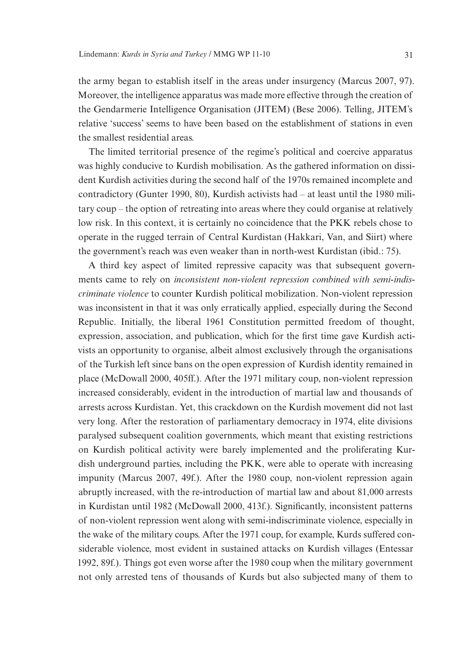the army began to establish itself in the areas under insurgency (Marcus 2007, 97). Moreover, the intelligence apparatus was made more effective through the creation of the Gendarmerie Intelligence Organisation (JITEM) (Bese 2006). Telling, JITEM's relative 'success' seems to have been based on the establishment of stations in even the smallest residential areas.

The limited territorial presence of the regime's political and coercive apparatus was highly conducive to Kurdish mobilisation. As the gathered information on dissident Kurdish activities during the second half of the 1970s remained incomplete and contradictory (Gunter 1990, 80), Kurdish activists had – at least until the 1980 military coup – the option of retreating into areas where they could organise at relatively low risk. In this context, it is certainly no coincidence that the PKK rebels chose to operate in the rugged terrain of Central Kurdistan (Hakkari, Van, and Siirt) where the government's reach was even weaker than in north-west Kurdistan (ibid.: 75).

A third key aspect of limited repressive capacity was that subsequent governments came to rely on *inconsistent non-violent repression combined with semi-indiscriminate violence* to counter Kurdish political mobilization. Non-violent repression was inconsistent in that it was only erratically applied, especially during the Second Republic. Initially, the liberal 1961 Constitution permitted freedom of thought, expression, association, and publication, which for the first time gave Kurdish activists an opportunity to organise, albeit almost exclusively through the organisations of the Turkish left since bans on the open expression of Kurdish identity remained in place (McDowall 2000, 405ff.). After the 1971 military coup, non-violent repression increased considerably, evident in the introduction of martial law and thousands of arrests across Kurdistan. Yet, this crackdown on the Kurdish movement did not last very long. After the restoration of parliamentary democracy in 1974, elite divisions paralysed subsequent coalition governments, which meant that existing restrictions on Kurdish political activity were barely implemented and the proliferating Kurdish underground parties, including the PKK, were able to operate with increasing impunity (Marcus 2007, 49f.). After the 1980 coup, non-violent repression again abruptly increased, with the re-introduction of martial law and about 81,000 arrests in Kurdistan until 1982 (McDowall 2000, 413f.). Significantly, inconsistent patterns of non-violent repression went along with semi-indiscriminate violence, especially in the wake of the military coups. After the 1971 coup, for example, Kurds suffered considerable violence, most evident in sustained attacks on Kurdish villages (Entessar 1992, 89f.). Things got even worse after the 1980 coup when the military government not only arrested tens of thousands of Kurds but also subjected many of them to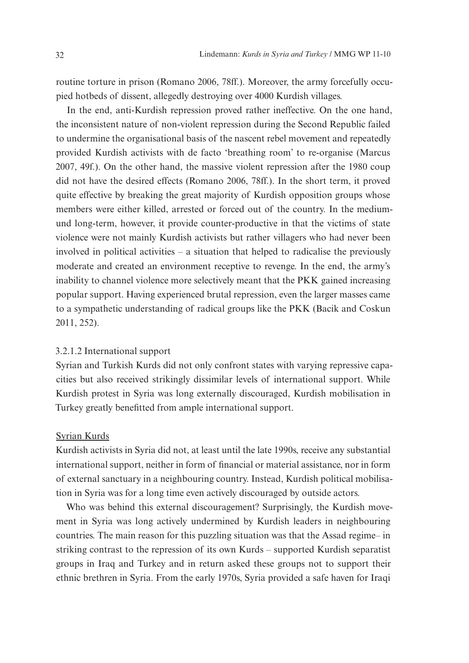routine torture in prison (Romano 2006, 78ff.). Moreover, the army forcefully occupied hotbeds of dissent, allegedly destroying over 4000 Kurdish villages.

In the end, anti-Kurdish repression proved rather ineffective. On the one hand, the inconsistent nature of non-violent repression during the Second Republic failed to undermine the organisational basis of the nascent rebel movement and repeatedly provided Kurdish activists with de facto 'breathing room' to re-organise (Marcus 2007, 49f.). On the other hand, the massive violent repression after the 1980 coup did not have the desired effects (Romano 2006, 78ff.). In the short term, it proved quite effective by breaking the great majority of Kurdish opposition groups whose members were either killed, arrested or forced out of the country. In the mediumund long-term, however, it provide counter-productive in that the victims of state violence were not mainly Kurdish activists but rather villagers who had never been involved in political activities – a situation that helped to radicalise the previously moderate and created an environment receptive to revenge. In the end, the army's inability to channel violence more selectively meant that the PKK gained increasing popular support. Having experienced brutal repression, even the larger masses came to a sympathetic understanding of radical groups like the PKK (Bacik and Coskun 2011, 252).

#### 3.2.1.2 International support

Syrian and Turkish Kurds did not only confront states with varying repressive capacities but also received strikingly dissimilar levels of international support. While Kurdish protest in Syria was long externally discouraged, Kurdish mobilisation in Turkey greatly benefitted from ample international support.

#### Syrian Kurds

Kurdish activists in Syria did not, at least until the late 1990s, receive any substantial international support, neither in form of financial or material assistance, nor in form of external sanctuary in a neighbouring country. Instead, Kurdish political mobilisation in Syria was for a long time even actively discouraged by outside actors.

Who was behind this external discouragement? Surprisingly, the Kurdish movement in Syria was long actively undermined by Kurdish leaders in neighbouring countries. The main reason for this puzzling situation was that the Assad regime– in striking contrast to the repression of its own Kurds – supported Kurdish separatist groups in Iraq and Turkey and in return asked these groups not to support their ethnic brethren in Syria. From the early 1970s, Syria provided a safe haven for Iraqi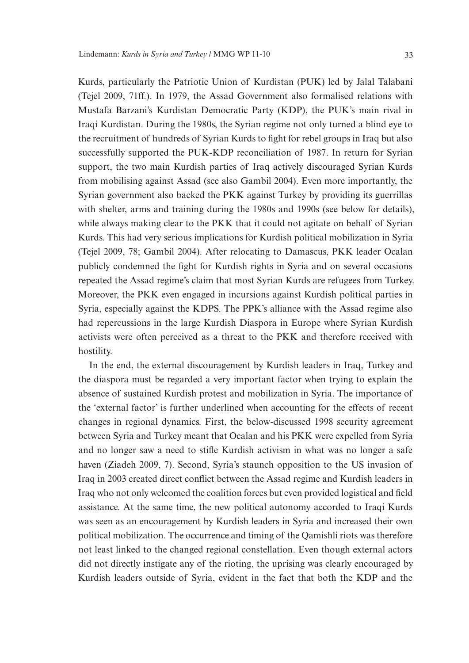Kurds, particularly the Patriotic Union of Kurdistan (PUK) led by Jalal Talabani (Tejel 2009, 71ff.). In 1979, the Assad Government also formalised relations with Mustafa Barzani's Kurdistan Democratic Party (KDP), the PUK's main rival in Iraqi Kurdistan. During the 1980s, the Syrian regime not only turned a blind eye to the recruitment of hundreds of Syrian Kurds to fight for rebel groups in Iraq but also successfully supported the PUK-KDP reconciliation of 1987. In return for Syrian support, the two main Kurdish parties of Iraq actively discouraged Syrian Kurds from mobilising against Assad (see also Gambil 2004). Even more importantly, the Syrian government also backed the PKK against Turkey by providing its guerrillas with shelter, arms and training during the 1980s and 1990s (see below for details), while always making clear to the PKK that it could not agitate on behalf of Syrian Kurds. This had very serious implications for Kurdish political mobilization in Syria (Tejel 2009, 78; Gambil 2004). After relocating to Damascus, PKK leader Ocalan publicly condemned the fight for Kurdish rights in Syria and on several occasions repeated the Assad regime's claim that most Syrian Kurds are refugees from Turkey. Moreover, the PKK even engaged in incursions against Kurdish political parties in Syria, especially against the KDPS. The PPK's alliance with the Assad regime also had repercussions in the large Kurdish Diaspora in Europe where Syrian Kurdish activists were often perceived as a threat to the PKK and therefore received with hostility.

In the end, the external discouragement by Kurdish leaders in Iraq, Turkey and the diaspora must be regarded a very important factor when trying to explain the absence of sustained Kurdish protest and mobilization in Syria. The importance of the 'external factor' is further underlined when accounting for the effects of recent changes in regional dynamics. First, the below-discussed 1998 security agreement between Syria and Turkey meant that Ocalan and his PKK were expelled from Syria and no longer saw a need to stifle Kurdish activism in what was no longer a safe haven (Ziadeh 2009, 7). Second, Syria's staunch opposition to the US invasion of Iraq in 2003 created direct conflict between the Assad regime and Kurdish leaders in Iraq who not only welcomed the coalition forces but even provided logistical and field assistance. At the same time, the new political autonomy accorded to Iraqi Kurds was seen as an encouragement by Kurdish leaders in Syria and increased their own political mobilization. The occurrence and timing of the Qamishli riots was therefore not least linked to the changed regional constellation. Even though external actors did not directly instigate any of the rioting, the uprising was clearly encouraged by Kurdish leaders outside of Syria, evident in the fact that both the KDP and the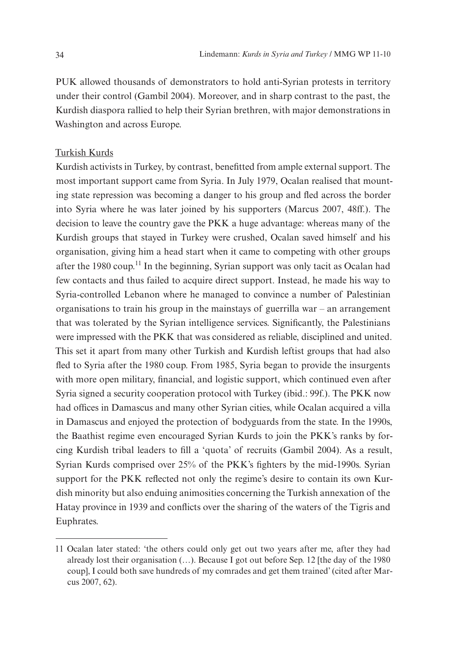PUK allowed thousands of demonstrators to hold anti-Syrian protests in territory under their control (Gambil 2004). Moreover, and in sharp contrast to the past, the Kurdish diaspora rallied to help their Syrian brethren, with major demonstrations in Washington and across Europe.

#### Turkish Kurds

Kurdish activists in Turkey, by contrast, benefitted from ample external support. The most important support came from Syria. In July 1979, Ocalan realised that mounting state repression was becoming a danger to his group and fled across the border into Syria where he was later joined by his supporters (Marcus 2007, 48ff.). The decision to leave the country gave the PKK a huge advantage: whereas many of the Kurdish groups that stayed in Turkey were crushed, Ocalan saved himself and his organisation, giving him a head start when it came to competing with other groups after the 1980 coup.<sup>11</sup> In the beginning, Syrian support was only tacit as Ocalan had few contacts and thus failed to acquire direct support. Instead, he made his way to Syria-controlled Lebanon where he managed to convince a number of Palestinian organisations to train his group in the mainstays of guerrilla war – an arrangement that was tolerated by the Syrian intelligence services. Significantly, the Palestinians were impressed with the PKK that was considered as reliable, disciplined and united. This set it apart from many other Turkish and Kurdish leftist groups that had also fled to Syria after the 1980 coup. From 1985, Syria began to provide the insurgents with more open military, financial, and logistic support, which continued even after Syria signed a security cooperation protocol with Turkey (ibid.: 99f.). The PKK now had offices in Damascus and many other Syrian cities, while Ocalan acquired a villa in Damascus and enjoyed the protection of bodyguards from the state. In the 1990s, the Baathist regime even encouraged Syrian Kurds to join the PKK's ranks by forcing Kurdish tribal leaders to fill a 'quota' of recruits (Gambil 2004). As a result, Syrian Kurds comprised over 25% of the PKK's fighters by the mid-1990s. Syrian support for the PKK reflected not only the regime's desire to contain its own Kurdish minority but also enduing animosities concerning the Turkish annexation of the Hatay province in 1939 and conflicts over the sharing of the waters of the Tigris and Euphrates.

<sup>11</sup> Ocalan later stated: 'the others could only get out two years after me, after they had already lost their organisation (…). Because I got out before Sep. 12 [the day of the 1980 coup], I could both save hundreds of my comrades and get them trained' (cited after Marcus 2007, 62).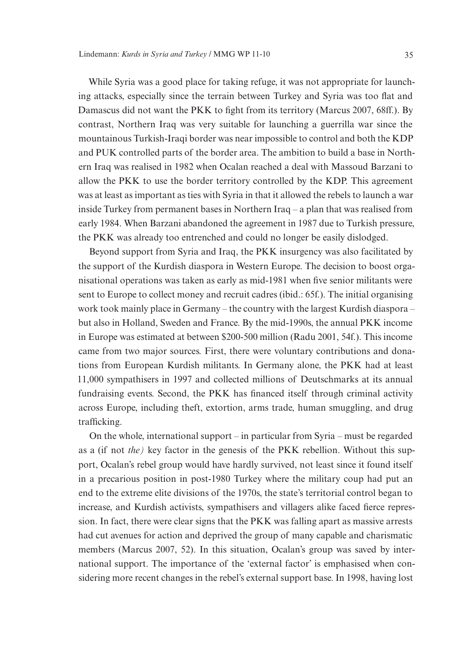While Syria was a good place for taking refuge, it was not appropriate for launching attacks, especially since the terrain between Turkey and Syria was too flat and Damascus did not want the PKK to fight from its territory (Marcus 2007, 68ff.). By contrast, Northern Iraq was very suitable for launching a guerrilla war since the mountainous Turkish-Iraqi border was near impossible to control and both the KDP and PUK controlled parts of the border area. The ambition to build a base in Northern Iraq was realised in 1982 when Ocalan reached a deal with Massoud Barzani to allow the PKK to use the border territory controlled by the KDP. This agreement was at least as important as ties with Syria in that it allowed the rebels to launch a war inside Turkey from permanent bases in Northern Iraq – a plan that was realised from early 1984. When Barzani abandoned the agreement in 1987 due to Turkish pressure, the PKK was already too entrenched and could no longer be easily dislodged.

Beyond support from Syria and Iraq, the PKK insurgency was also facilitated by the support of the Kurdish diaspora in Western Europe. The decision to boost organisational operations was taken as early as mid-1981 when five senior militants were sent to Europe to collect money and recruit cadres (ibid.: 65f.). The initial organising work took mainly place in Germany – the country with the largest Kurdish diaspora – but also in Holland, Sweden and France. By the mid-1990s, the annual PKK income in Europe was estimated at between \$200-500 million (Radu 2001, 54f.). This income came from two major sources. First, there were voluntary contributions and donations from European Kurdish militants. In Germany alone, the PKK had at least 11,000 sympathisers in 1997 and collected millions of Deutschmarks at its annual fundraising events. Second, the PKK has financed itself through criminal activity across Europe, including theft, extortion, arms trade, human smuggling, and drug trafficking.

On the whole, international support – in particular from Syria – must be regarded as a (if not *the)* key factor in the genesis of the PKK rebellion. Without this support, Ocalan's rebel group would have hardly survived, not least since it found itself in a precarious position in post-1980 Turkey where the military coup had put an end to the extreme elite divisions of the 1970s, the state's territorial control began to increase, and Kurdish activists, sympathisers and villagers alike faced fierce repression. In fact, there were clear signs that the PKK was falling apart as massive arrests had cut avenues for action and deprived the group of many capable and charismatic members (Marcus 2007, 52). In this situation, Ocalan's group was saved by international support. The importance of the 'external factor' is emphasised when considering more recent changes in the rebel's external support base. In 1998, having lost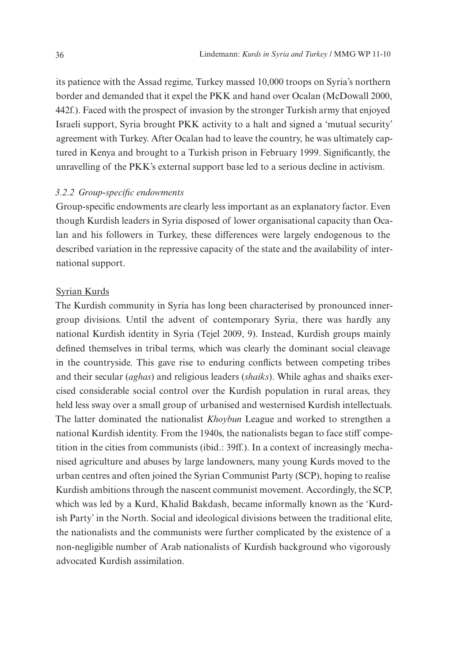its patience with the Assad regime, Turkey massed 10,000 troops on Syria's northern border and demanded that it expel the PKK and hand over Ocalan (McDowall 2000, 442f.). Faced with the prospect of invasion by the stronger Turkish army that enjoyed Israeli support, Syria brought PKK activity to a halt and signed a 'mutual security' agreement with Turkey. After Ocalan had to leave the country, he was ultimately captured in Kenya and brought to a Turkish prison in February 1999. Significantly, the unravelling of the PKK's external support base led to a serious decline in activism.

#### *3.2.2 Group-specific endowments*

Group-specific endowments are clearly less important as an explanatory factor. Even though Kurdish leaders in Syria disposed of lower organisational capacity than Ocalan and his followers in Turkey, these differences were largely endogenous to the described variation in the repressive capacity of the state and the availability of international support.

#### Syrian Kurds

The Kurdish community in Syria has long been characterised by pronounced innergroup divisions. Until the advent of contemporary Syria, there was hardly any national Kurdish identity in Syria (Tejel 2009, 9). Instead, Kurdish groups mainly defined themselves in tribal terms, which was clearly the dominant social cleavage in the countryside. This gave rise to enduring conflicts between competing tribes and their secular (*aghas*) and religious leaders (*shaiks*). While aghas and shaiks exercised considerable social control over the Kurdish population in rural areas, they held less sway over a small group of urbanised and westernised Kurdish intellectuals. The latter dominated the nationalist *Khoybun* League and worked to strengthen a national Kurdish identity. From the 1940s, the nationalists began to face stiff competition in the cities from communists (ibid.: 39ff.). In a context of increasingly mechanised agriculture and abuses by large landowners, many young Kurds moved to the urban centres and often joined the Syrian Communist Party (SCP), hoping to realise Kurdish ambitions through the nascent communist movement. Accordingly, the SCP, which was led by a Kurd, Khalid Bakdash, became informally known as the 'Kurdish Party' in the North. Social and ideological divisions between the traditional elite, the nationalists and the communists were further complicated by the existence of a non-negligible number of Arab nationalists of Kurdish background who vigorously advocated Kurdish assimilation.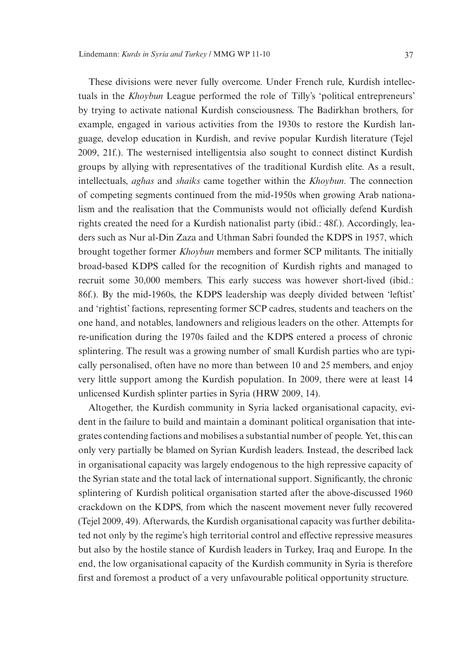These divisions were never fully overcome. Under French rule, Kurdish intellectuals in the *Khoybun* League performed the role of Tilly's 'political entrepreneurs' by trying to activate national Kurdish consciousness. The Badirkhan brothers, for example, engaged in various activities from the 1930s to restore the Kurdish language, develop education in Kurdish, and revive popular Kurdish literature (Tejel 2009, 21f.). The westernised intelligentsia also sought to connect distinct Kurdish groups by allying with representatives of the traditional Kurdish elite. As a result, intellectuals, *aghas* and *shaiks* came together within the *Khoybun*. The connection of competing segments continued from the mid-1950s when growing Arab nationalism and the realisation that the Communists would not officially defend Kurdish rights created the need for a Kurdish nationalist party (ibid.: 48f.). Accordingly, leaders such as Nur al-Din Zaza and Uthman Sabri founded the KDPS in 1957, which brought together former *Khoybun* members and former SCP militants. The initially broad-based KDPS called for the recognition of Kurdish rights and managed to recruit some 30,000 members. This early success was however short-lived (ibid.: 86f.). By the mid-1960s, the KDPS leadership was deeply divided between 'leftist' and 'rightist' factions, representing former SCP cadres, students and teachers on the one hand, and notables, landowners and religious leaders on the other. Attempts for re-unification during the 1970s failed and the KDPS entered a process of chronic splintering. The result was a growing number of small Kurdish parties who are typically personalised, often have no more than between 10 and 25 members, and enjoy very little support among the Kurdish population. In 2009, there were at least 14 unlicensed Kurdish splinter parties in Syria (HRW 2009, 14).

Altogether, the Kurdish community in Syria lacked organisational capacity, evident in the failure to build and maintain a dominant political organisation that integrates contending factions and mobilises a substantial number of people. Yet, this can only very partially be blamed on Syrian Kurdish leaders. Instead, the described lack in organisational capacity was largely endogenous to the high repressive capacity of the Syrian state and the total lack of international support. Significantly, the chronic splintering of Kurdish political organisation started after the above-discussed 1960 crackdown on the KDPS, from which the nascent movement never fully recovered (Tejel 2009, 49). Afterwards, the Kurdish organisational capacity was further debilitated not only by the regime's high territorial control and effective repressive measures but also by the hostile stance of Kurdish leaders in Turkey, Iraq and Europe. In the end, the low organisational capacity of the Kurdish community in Syria is therefore first and foremost a product of a very unfavourable political opportunity structure.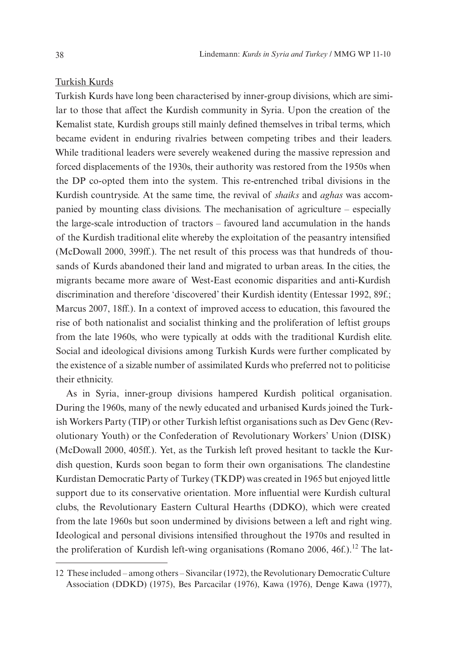#### Turkish Kurds

Turkish Kurds have long been characterised by inner-group divisions, which are similar to those that affect the Kurdish community in Syria. Upon the creation of the Kemalist state, Kurdish groups still mainly defined themselves in tribal terms, which became evident in enduring rivalries between competing tribes and their leaders. While traditional leaders were severely weakened during the massive repression and forced displacements of the 1930s, their authority was restored from the 1950s when the DP co-opted them into the system. This re-entrenched tribal divisions in the Kurdish countryside. At the same time, the revival of *shaiks* and *aghas* was accompanied by mounting class divisions. The mechanisation of agriculture – especially the large-scale introduction of tractors – favoured land accumulation in the hands of the Kurdish traditional elite whereby the exploitation of the peasantry intensified (McDowall 2000, 399ff.). The net result of this process was that hundreds of thousands of Kurds abandoned their land and migrated to urban areas. In the cities, the migrants became more aware of West-East economic disparities and anti-Kurdish discrimination and therefore 'discovered' their Kurdish identity (Entessar 1992, 89f.; Marcus 2007, 18ff.). In a context of improved access to education, this favoured the rise of both nationalist and socialist thinking and the proliferation of leftist groups from the late 1960s, who were typically at odds with the traditional Kurdish elite. Social and ideological divisions among Turkish Kurds were further complicated by the existence of a sizable number of assimilated Kurds who preferred not to politicise their ethnicity.

As in Syria, inner-group divisions hampered Kurdish political organisation. During the 1960s, many of the newly educated and urbanised Kurds joined the Turkish Workers Party (TIP) or other Turkish leftist organisations such as Dev Genc (Revolutionary Youth) or the Confederation of Revolutionary Workers' Union (DISK) (McDowall 2000, 405ff.). Yet, as the Turkish left proved hesitant to tackle the Kurdish question, Kurds soon began to form their own organisations. The clandestine Kurdistan Democratic Party of Turkey (TKDP) was created in 1965 but enjoyed little support due to its conservative orientation. More influential were Kurdish cultural clubs, the Revolutionary Eastern Cultural Hearths (DDKO), which were created from the late 1960s but soon undermined by divisions between a left and right wing. Ideological and personal divisions intensified throughout the 1970s and resulted in the proliferation of Kurdish left-wing organisations (Romano 2006, 46f.).<sup>12</sup> The lat-

<sup>12</sup> These included – among others – Sivancilar (1972), the Revolutionary Democratic Culture Association (DDKD) (1975), Bes Parcacilar (1976), Kawa (1976), Denge Kawa (1977),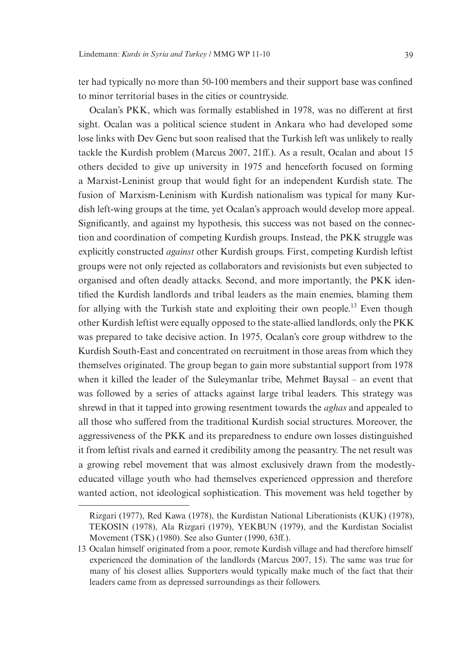ter had typically no more than 50-100 members and their support base was confined to minor territorial bases in the cities or countryside.

Ocalan's PKK, which was formally established in 1978, was no different at first sight. Ocalan was a political science student in Ankara who had developed some lose links with Dev Genc but soon realised that the Turkish left was unlikely to really tackle the Kurdish problem (Marcus 2007, 21ff.). As a result, Ocalan and about 15 others decided to give up university in 1975 and henceforth focused on forming a Marxist-Leninist group that would fight for an independent Kurdish state. The fusion of Marxism-Leninism with Kurdish nationalism was typical for many Kurdish left-wing groups at the time, yet Ocalan's approach would develop more appeal. Significantly, and against my hypothesis, this success was not based on the connection and coordination of competing Kurdish groups. Instead, the PKK struggle was explicitly constructed *against* other Kurdish groups. First, competing Kurdish leftist groups were not only rejected as collaborators and revisionists but even subjected to organised and often deadly attacks. Second, and more importantly, the PKK identified the Kurdish landlords and tribal leaders as the main enemies, blaming them for allying with the Turkish state and exploiting their own people.<sup>13</sup> Even though other Kurdish leftist were equally opposed to the state-allied landlords, only the PKK was prepared to take decisive action. In 1975, Ocalan's core group withdrew to the Kurdish South-East and concentrated on recruitment in those areas from which they themselves originated. The group began to gain more substantial support from 1978 when it killed the leader of the Suleymanlar tribe, Mehmet Baysal – an event that was followed by a series of attacks against large tribal leaders. This strategy was shrewd in that it tapped into growing resentment towards the *aghas* and appealed to all those who suffered from the traditional Kurdish social structures. Moreover, the aggressiveness of the PKK and its preparedness to endure own losses distinguished it from leftist rivals and earned it credibility among the peasantry. The net result was a growing rebel movement that was almost exclusively drawn from the modestlyeducated village youth who had themselves experienced oppression and therefore wanted action, not ideological sophistication. This movement was held together by

Rizgari (1977), Red Kawa (1978), the Kurdistan National Liberationists (KUK) (1978), TEKOSIN (1978), Ala Rizgari (1979), YEKBUN (1979), and the Kurdistan Socialist Movement (TSK) (1980). See also Gunter (1990, 63ff.).

<sup>13</sup> Ocalan himself originated from a poor, remote Kurdish village and had therefore himself experienced the domination of the landlords (Marcus 2007, 15). The same was true for many of his closest allies. Supporters would typically make much of the fact that their leaders came from as depressed surroundings as their followers.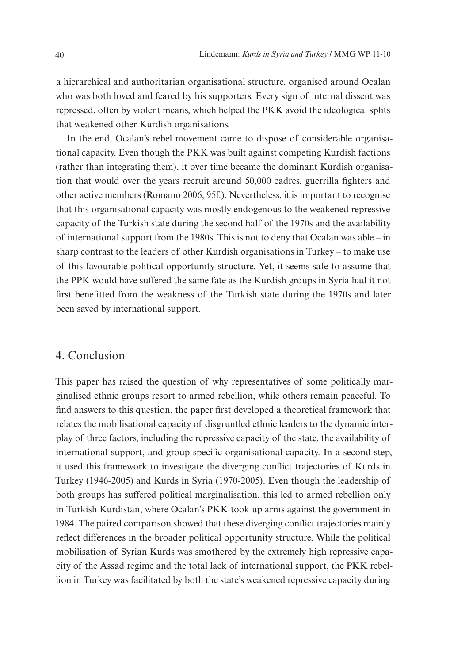a hierarchical and authoritarian organisational structure, organised around Ocalan who was both loved and feared by his supporters. Every sign of internal dissent was repressed, often by violent means, which helped the PKK avoid the ideological splits that weakened other Kurdish organisations.

In the end, Ocalan's rebel movement came to dispose of considerable organisational capacity. Even though the PKK was built against competing Kurdish factions (rather than integrating them), it over time became the dominant Kurdish organisation that would over the years recruit around 50,000 cadres, guerrilla fighters and other active members (Romano 2006, 95f.). Nevertheless, it is important to recognise that this organisational capacity was mostly endogenous to the weakened repressive capacity of the Turkish state during the second half of the 1970s and the availability of international support from the 1980s. This is not to deny that Ocalan was able – in sharp contrast to the leaders of other Kurdish organisations in Turkey – to make use of this favourable political opportunity structure. Yet, it seems safe to assume that the PPK would have suffered the same fate as the Kurdish groups in Syria had it not first benefitted from the weakness of the Turkish state during the 1970s and later been saved by international support.

## 4. Conclusion

This paper has raised the question of why representatives of some politically marginalised ethnic groups resort to armed rebellion, while others remain peaceful. To find answers to this question, the paper first developed a theoretical framework that relates the mobilisational capacity of disgruntled ethnic leaders to the dynamic interplay of three factors, including the repressive capacity of the state, the availability of international support, and group-specific organisational capacity. In a second step, it used this framework to investigate the diverging conflict trajectories of Kurds in Turkey (1946-2005) and Kurds in Syria (1970-2005). Even though the leadership of both groups has suffered political marginalisation, this led to armed rebellion only in Turkish Kurdistan, where Ocalan's PKK took up arms against the government in 1984. The paired comparison showed that these diverging conflict trajectories mainly reflect differences in the broader political opportunity structure. While the political mobilisation of Syrian Kurds was smothered by the extremely high repressive capacity of the Assad regime and the total lack of international support, the PKK rebellion in Turkey was facilitated by both the state's weakened repressive capacity during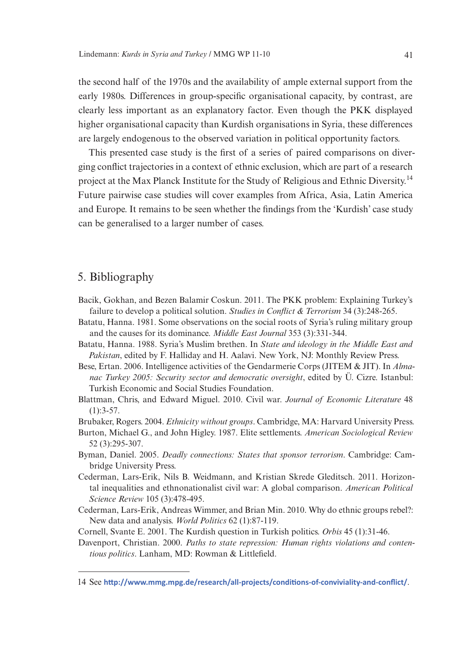the second half of the 1970s and the availability of ample external support from the early 1980s. Differences in group-specific organisational capacity, by contrast, are clearly less important as an explanatory factor. Even though the PKK displayed higher organisational capacity than Kurdish organisations in Syria, these differences are largely endogenous to the observed variation in political opportunity factors.

This presented case study is the first of a series of paired comparisons on diverging conflict trajectories in a context of ethnic exclusion, which are part of a research project at the Max Planck Institute for the Study of Religious and Ethnic Diversity.<sup>14</sup> Future pairwise case studies will cover examples from Africa, Asia, Latin America and Europe. It remains to be seen whether the findings from the 'Kurdish' case study can be generalised to a larger number of cases.

## 5. Bibliography

- Bacik, Gokhan, and Bezen Balamir Coskun. 2011. The PKK problem: Explaining Turkey's failure to develop a political solution. *Studies in Conflict & Terrorism* 34 (3):248-265.
- Batatu, Hanna. 1981. Some observations on the social roots of Syria's ruling military group and the causes for its dominance. *Middle East Journal* 353 (3):331-344.
- Batatu, Hanna. 1988. Syria's Muslim brethen. In *State and ideology in the Middle East and Pakistan*, edited by F. Halliday and H. Aalavi. New York, NJ: Monthly Review Press.
- Bese, Ertan. 2006. Intelligence activities of the Gendarmerie Corps (JITEM & JIT). In *Almanac Turkey 2005: Security sector and democratic oversight*, edited by Ü. Cizre. Istanbul: Turkish Economic and Social Studies Foundation.
- Blattman, Chris, and Edward Miguel. 2010. Civil war. *Journal of Economic Literature* 48  $(1):3-57.$
- Brubaker, Rogers. 2004. *Ethnicity without groups*. Cambridge, MA: Harvard University Press.
- Burton, Michael G., and John Higley. 1987. Elite settlements. *American Sociological Review* 52 (3):295-307.
- Byman, Daniel. 2005. *Deadly connections: States that sponsor terrorism*. Cambridge: Cambridge University Press.
- Cederman, Lars-Erik, Nils B. Weidmann, and Kristian Skrede Gleditsch. 2011. Horizontal inequalities and ethnonationalist civil war: A global comparison. *American Political Science Review* 105 (3):478-495.
- Cederman, Lars-Erik, Andreas Wimmer, and Brian Min. 2010. Why do ethnic groups rebel?: New data and analysis. *World Politics* 62 (1):87-119.
- Cornell, Svante E. 2001. The Kurdish question in Turkish politics. *Orbis* 45 (1):31-46.
- Davenport, Christian. 2000. *Paths to state repression: Human rights violations and contentious politics*. Lanham, MD: Rowman & Littlefield.

<sup>14</sup> See **http://www.mmg.mpg.de/research/all-projects/conditions-of-conviviality-and-conflict/**.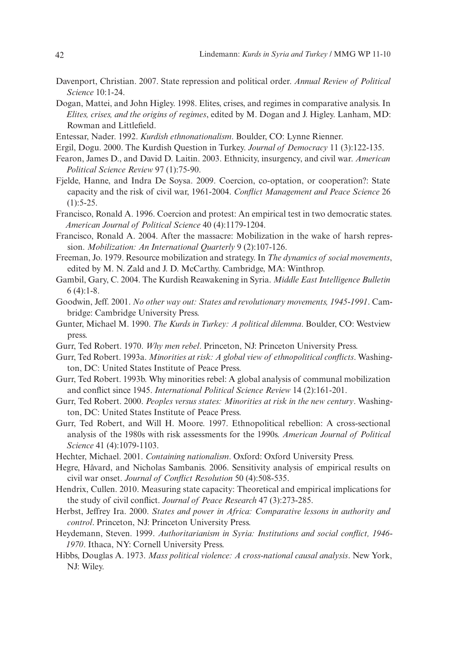- Davenport, Christian. 2007. State repression and political order. *Annual Review of Political Science* 10:1-24.
- Dogan, Mattei, and John Higley. 1998. Elites, crises, and regimes in comparative analysis. In *Elites, crises, and the origins of regimes*, edited by M. Dogan and J. Higley. Lanham, MD: Rowman and Littlefield.
- Entessar, Nader. 1992. *Kurdish ethnonationalism*. Boulder, CO: Lynne Rienner.
- Ergil, Dogu. 2000. The Kurdish Question in Turkey. *Journal of Democracy* 11 (3):122-135.
- Fearon, James D., and David D. Laitin. 2003. Ethnicity, insurgency, and civil war. *American Political Science Review* 97 (1):75-90.
- Fjelde, Hanne, and Indra De Soysa. 2009. Coercion, co-optation, or cooperation?: State capacity and the risk of civil war, 1961-2004. *Conflict Management and Peace Science* 26  $(1):$  5-25.
- Francisco, Ronald A. 1996. Coercion and protest: An empirical test in two democratic states. *American Journal of Political Science* 40 (4):1179-1204.
- Francisco, Ronald A. 2004. After the massacre: Mobilization in the wake of harsh repression. *Mobilization: An International Quarterly* 9 (2):107-126.
- Freeman, Jo. 1979. Resource mobilization and strategy. In *The dynamics of social movements*, edited by M. N. Zald and J. D. McCarthy. Cambridge, MA: Winthrop.
- Gambil, Gary, C. 2004. The Kurdish Reawakening in Syria. *Middle East Intelligence Bulletin*  $6(4):1-8.$
- Goodwin, Jeff. 2001. *No other way out: States and revolutionary movements, 1945-1991*. Cambridge: Cambridge University Press.
- Gunter, Michael M. 1990. *The Kurds in Turkey: A political dilemma*. Boulder, CO: Westview press.
- Gurr, Ted Robert. 1970. *Why men rebel*. Princeton, NJ: Princeton University Press.
- Gurr, Ted Robert. 1993a. *Minorities at risk: A global view of ethnopolitical conflicts*. Washington, DC: United States Institute of Peace Press.
- Gurr, Ted Robert. 1993b. Why minorities rebel: A global analysis of communal mobilization and conflict since 1945. *International Political Science Review* 14 (2):161-201.
- Gurr, Ted Robert. 2000. *Peoples versus states: Minorities at risk in the new century*. Washington, DC: United States Institute of Peace Press.
- Gurr, Ted Robert, and Will H. Moore. 1997. Ethnopolitical rebellion: A cross-sectional analysis of the 1980s with risk assessments for the 1990s. *American Journal of Political Science* 41 (4):1079-1103.
- Hechter, Michael. 2001. *Containing nationalism*. Oxford: Oxford University Press.
- Hegre, Håvard, and Nicholas Sambanis. 2006. Sensitivity analysis of empirical results on civil war onset. *Journal of Conflict Resolution* 50 (4):508-535.
- Hendrix, Cullen. 2010. Measuring state capacity: Theoretical and empirical implications for the study of civil conflict. *Journal of Peace Research* 47 (3):273-285.
- Herbst, Jeffrey Ira. 2000. *States and power in Africa: Comparative lessons in authority and control*. Princeton, NJ: Princeton University Press.
- Heydemann, Steven. 1999. *Authoritarianism in Syria: Institutions and social conflict, 1946- 1970*. Ithaca, NY: Cornell University Press.
- Hibbs, Douglas A. 1973. *Mass political violence: A cross-national causal analysis*. New York, NJ: Wiley.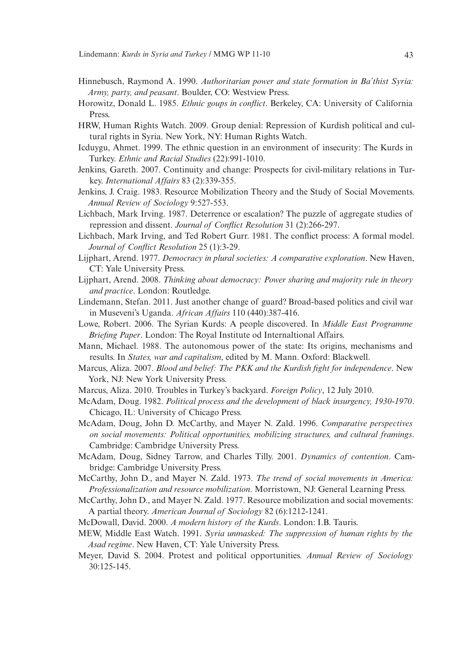- Hinnebusch, Raymond A. 1990. *Authoritarian power and state formation in Ba'thist Syria: Army, party, and peasant*. Boulder, CO: Westview Press.
- Horowitz, Donald L. 1985. *Ethnic goups in conflict*. Berkeley, CA: University of California Press.
- HRW, Human Rights Watch. 2009. Group denial: Repression of Kurdish political and cultural rights in Syria. New York, NY: Human Rights Watch.
- Icduygu, Ahmet. 1999. The ethnic question in an environment of insecurity: The Kurds in Turkey. *Ethnic and Racial Studies* (22):991-1010.
- Jenkins, Gareth. 2007. Continuity and change: Prospects for civil-military relations in Turkey. *International Affairs* 83 (2):339-355.
- Jenkins, J. Craig. 1983. Resource Mobilization Theory and the Study of Social Movements. *Annual Review of Sociology* 9:527-553.
- Lichbach, Mark Irving. 1987. Deterrence or escalation? The puzzle of aggregate studies of repression and dissent. *Journal of Conflict Resolution* 31 (2):266-297.
- Lichbach, Mark Irving, and Ted Robert Gurr. 1981. The conflict process: A formal model. *Journal of Conflict Resolution* 25 (1):3-29.
- Lijphart, Arend. 1977. *Democracy in plural societies: A comparative exploration*. New Haven, CT: Yale University Press.
- Lijphart, Arend. 2008. *Thinking about democracy: Power sharing and majority rule in theory and practice*. London: Routledge.
- Lindemann, Stefan. 2011. Just another change of guard? Broad-based politics and civil war in Museveni's Uganda. *African Affairs* 110 (440):387-416.
- Lowe, Robert. 2006. The Syrian Kurds: A people discovered. In *Middle East Programme Briefing Paper*. London: The Royal Institute od Internaltional Affairs.
- Mann, Michael. 1988. The autonomous power of the state: Its origins, mechanisms and results. In *States, war and capitalism*, edited by M. Mann. Oxford: Blackwell.
- Marcus, Aliza. 2007. *Blood and belief: The PKK and the Kurdish fight for independence*. New York, NJ: New York University Press.
- Marcus, Aliza. 2010. Troubles in Turkey's backyard. *Foreign Policy*, 12 July 2010.
- McAdam, Doug. 1982. *Political process and the development of black insurgency, 1930-1970*. Chicago, IL: University of Chicago Press.
- McAdam, Doug, John D. McCarthy, and Mayer N. Zald. 1996. *Comparative perspectives on social movements: Political opportunities, mobilizing structures, and cultural framings*. Cambridge: Cambridge University Press.
- McAdam, Doug, Sidney Tarrow, and Charles Tilly. 2001. *Dynamics of contention*. Cambridge: Cambridge University Press.
- McCarthy, John D., and Mayer N. Zald. 1973. *The trend of social movements in America: Professionalization and resource mobilization*. Morristown, NJ: General Learning Press.
- McCarthy, John D., and Mayer N. Zald. 1977. Resource mobilization and social movements: A partial theory. *American Journal of Sociology* 82 (6):1212-1241.
- McDowall, David. 2000. *A modern history of the Kurds*. London: I.B. Tauris.
- MEW, Middle East Watch. 1991. *Syria unmasked: The suppression of human rights by the Asad regime*. New Haven, CT: Yale University Press.
- Meyer, David S. 2004. Protest and political opportunities. *Annual Review of Sociology* 30:125-145.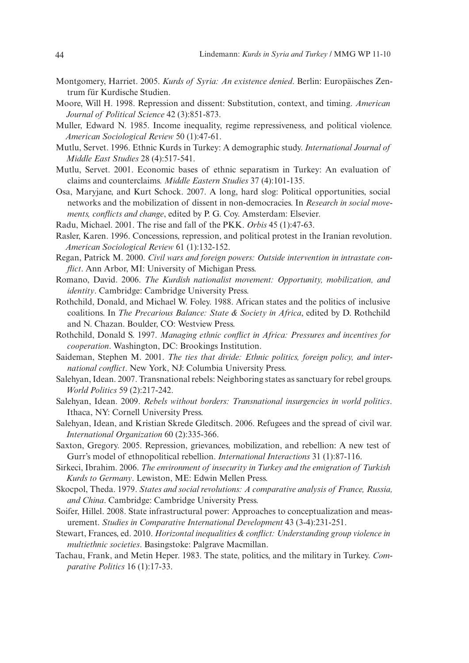- Montgomery, Harriet. 2005. *Kurds of Syria: An existence denied*. Berlin: Europäisches Zentrum für Kurdische Studien.
- Moore, Will H. 1998. Repression and dissent: Substitution, context, and timing. *American Journal of Political Science* 42 (3):851-873.
- Muller, Edward N. 1985. Income inequality, regime repressiveness, and political violence. *American Sociological Review* 50 (1):47-61.
- Mutlu, Servet. 1996. Ethnic Kurds in Turkey: A demographic study. *International Journal of Middle East Studies* 28 (4):517-541.
- Mutlu, Servet. 2001. Economic bases of ethnic separatism in Turkey: An evaluation of claims and counterclaims. *Middle Eastern Studies* 37 (4):101-135.
- Osa, Maryjane, and Kurt Schock. 2007. A long, hard slog: Political opportunities, social networks and the mobilization of dissent in non-democracies. In *Research in social movements, conflicts and change*, edited by P. G. Coy. Amsterdam: Elsevier.
- Radu, Michael. 2001. The rise and fall of the PKK. *Orbis* 45 (1):47-63.
- Rasler, Karen. 1996. Concessions, repression, and political protest in the Iranian revolution. *American Sociological Review* 61 (1):132-152.
- Regan, Patrick M. 2000. *Civil wars and foreign powers: Outside intervention in intrastate conflict*. Ann Arbor, MI: University of Michigan Press.
- Romano, David. 2006. *The Kurdish nationalist movement: Opportunity, mobilization, and identity*. Cambridge: Cambridge University Press.
- Rothchild, Donald, and Michael W. Foley. 1988. African states and the politics of inclusive coalitions. In *The Precarious Balance: State & Society in Africa*, edited by D. Rothchild and N. Chazan. Boulder, CO: Westview Press.
- Rothchild, Donald S. 1997. *Managing ethnic conflict in Africa: Pressures and incentives for cooperation*. Washington, DC: Brookings Institution.
- Saideman, Stephen M. 2001. *The ties that divide: Ethnic politics, foreign policy, and international conflict*. New York, NJ: Columbia University Press.
- Salehyan, Idean. 2007. Transnational rebels: Neighboring states as sanctuary for rebel groups. *World Politics* 59 (2):217-242.
- Salehyan, Idean. 2009. *Rebels without borders: Transnational insurgencies in world politics*. Ithaca, NY: Cornell University Press.
- Salehyan, Idean, and Kristian Skrede Gleditsch. 2006. Refugees and the spread of civil war. *International Organization* 60 (2):335-366.
- Saxton, Gregory. 2005. Repression, grievances, mobilization, and rebellion: A new test of Gurr's model of ethnopolitical rebellion. *International Interactions* 31 (1):87-116.
- Sirkeci, Ibrahim. 2006. *The environment of insecurity in Turkey and the emigration of Turkish Kurds to Germany*. Lewiston, ME: Edwin Mellen Press.
- Skocpol, Theda. 1979. *States and social revolutions: A comparative analysis of France, Russia, and China*. Cambridge: Cambridge University Press.
- Soifer, Hillel. 2008. State infrastructural power: Approaches to conceptualization and measurement. *Studies in Comparative International Development* 43 (3-4):231-251.
- Stewart, Frances, ed. 2010. *Horizontal inequalities & conflict: Understanding group violence in multiethnic societies*. Basingstoke: Palgrave Macmillan.
- Tachau, Frank, and Metin Heper. 1983. The state, politics, and the military in Turkey. *Comparative Politics* 16 (1):17-33.